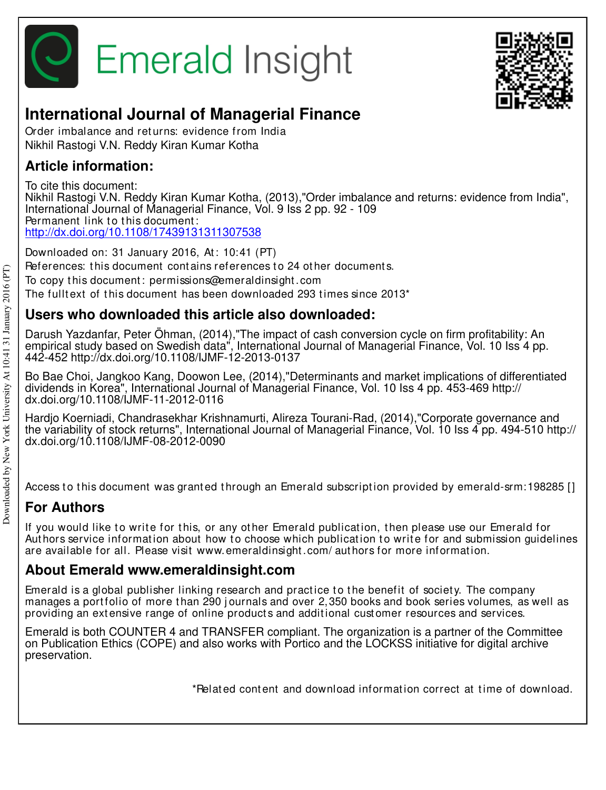



# **International Journal of Managerial Finance**

Order imbalance and ret urns: evidence from India Nikhil Rastogi V.N. Reddy Kiran Kumar Kotha

## **Article information:**

To cite this document: Nikhil Rastogi V.N. Reddy Kiran Kumar Kotha, (2013),"Order imbalance and returns: evidence from India", International Journal of Managerial Finance, Vol. 9 Iss 2 pp. 92 - 109 Permanent link to this document: http://dx.doi.org/10.1108/17439131311307538

Downloaded on: 31 January 2016, At : 10:41 (PT)

References: this document contains references to 24 other documents.

To copy t his document : permissions@emeraldinsight .com

The fulltext of this document has been downloaded 293 times since  $2013$ <sup>\*</sup>

## **Users who downloaded this article also downloaded:**

Darush Yazdanfar, Peter Öhman, (2014),"The impact of cash conversion cycle on firm profitability: An empirical study based on Swedish data", International Journal of Managerial Finance, Vol. 10 Iss 4 pp. 442-452 http://dx.doi.org/10.1108/IJMF-12-2013-0137

Bo Bae Choi, Jangkoo Kang, Doowon Lee, (2014),"Determinants and market implications of differentiated dividends in Korea", International Journal of Managerial Finance, Vol. 10 Iss 4 pp. 453-469 http:// dx.doi.org/10.1108/IJMF-11-2012-0116

Hardjo Koerniadi, Chandrasekhar Krishnamurti, Alireza Tourani-Rad, (2014),"Corporate governance and the variability of stock returns", International Journal of Managerial Finance, Vol. 10 Iss 4 pp. 494-510 http:// dx.doi.org/10.1108/IJMF-08-2012-0090

Access to this document was granted through an Emerald subscription provided by emerald-srm: 198285 []

## **For Authors**

If you would like to write for this, or any other Emerald publication, then please use our Emerald for Authors service information about how to choose which publication to write for and submission guidelines are available for all. Please visit www.emeraldinsight .com/ aut hors for more informat ion.

## **About Emerald www.emeraldinsight.com**

Emerald is a global publisher linking research and practice to the benefit of society. The company manages a portfolio of more than 290 journals and over 2,350 books and book series volumes, as well as providing an extensive range of online products and additional customer resources and services.

Emerald is both COUNTER 4 and TRANSFER compliant. The organization is a partner of the Committee on Publication Ethics (COPE) and also works with Portico and the LOCKSS initiative for digital archive preservation.

\*Relat ed cont ent and download informat ion correct at t ime of download.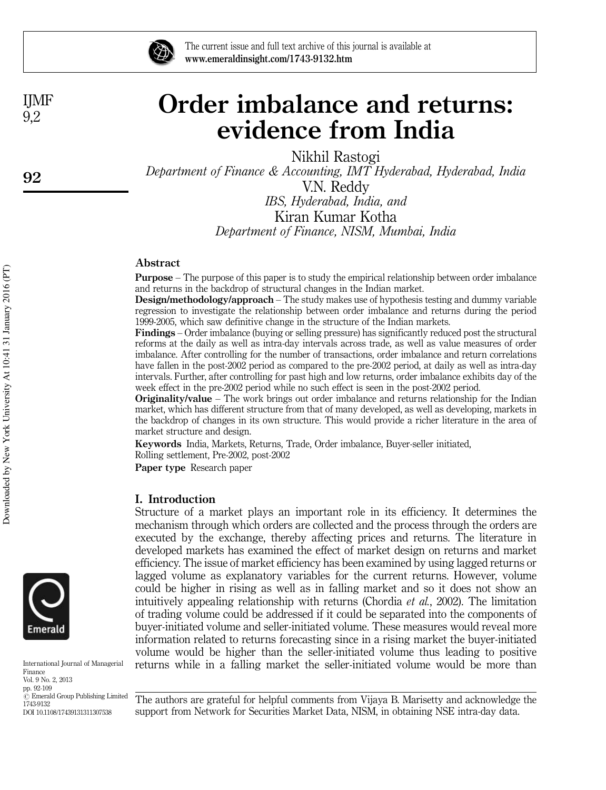

IJMF 9,2

92

# Order imbalance and returns: evidence from India

Nikhil Rastogi

*Department of Finance & Accounting, IMT Hyderabad, Hyderabad, India* V.N. Reddy *IBS, Hyderabad, India, and* Kiran Kumar Kotha *Department of Finance, NISM, Mumbai, India*

Abstract

Purpose – The purpose of this paper is to study the empirical relationship between order imbalance and returns in the backdrop of structural changes in the Indian market.

Design/methodology/approach – The study makes use of hypothesis testing and dummy variable regression to investigate the relationship between order imbalance and returns during the period 1999-2005, which saw definitive change in the structure of the Indian markets.

Findings – Order imbalance (buying or selling pressure) has significantly reduced post the structural reforms at the daily as well as intra-day intervals across trade, as well as value measures of order imbalance. After controlling for the number of transactions, order imbalance and return correlations have fallen in the post-2002 period as compared to the pre-2002 period, at daily as well as intra-day intervals. Further, after controlling for past high and low returns, order imbalance exhibits day of the week effect in the pre-2002 period while no such effect is seen in the post-2002 period.

Originality/value – The work brings out order imbalance and returns relationship for the Indian market, which has different structure from that of many developed, as well as developing, markets in the backdrop of changes in its own structure. This would provide a richer literature in the area of market structure and design.

Keywords India, Markets, Returns, Trade, Order imbalance, Buyer-seller initiated, Rolling settlement, Pre-2002, post-2002

Paper type Research paper

## I. Introduction

Structure of a market plays an important role in its efficiency. It determines the mechanism through which orders are collected and the process through the orders are executed by the exchange, thereby affecting prices and returns. The literature in developed markets has examined the effect of market design on returns and market efficiency. The issue of market efficiency has been examined by using lagged returns or lagged volume as explanatory variables for the current returns. However, volume could be higher in rising as well as in falling market and so it does not show an intuitively appealing relationship with returns (Chordia *et al.*, 2002). The limitation of trading volume could be addressed if it could be separated into the components of buyer-initiated volume and seller-initiated volume. These measures would reveal more information related to returns forecasting since in a rising market the buyer-initiated volume would be higher than the seller-initiated volume thus leading to positive returns while in a falling market the seller-initiated volume would be more than



International Journal of Managerial Finance Vol. 9 No. 2, 2013 pp. 92-109  $\odot$  Emerald Group Publishing Limited 1743, 9132 DOI 10.1108/17439131311307538

The authors are grateful for helpful comments from Vijaya B. Marisetty and acknowledge the support from Network for Securities Market Data, NISM, in obtaining NSE intra-day data.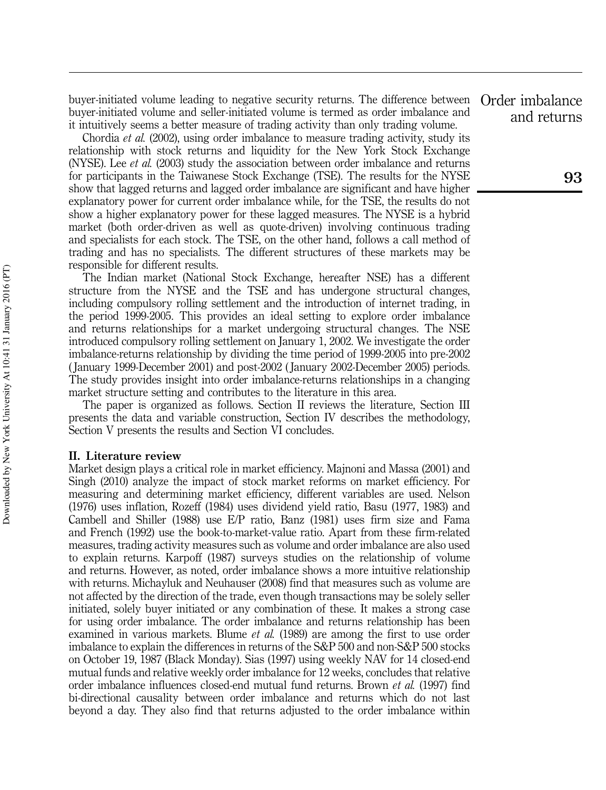buyer-initiated volume leading to negative security returns. The difference between buyer-initiated volume and seller-initiated volume is termed as order imbalance and it intuitively seems a better measure of trading activity than only trading volume.

Chordia *et al.* (2002), using order imbalance to measure trading activity, study its relationship with stock returns and liquidity for the New York Stock Exchange (NYSE). Lee *et al.* (2003) study the association between order imbalance and returns for participants in the Taiwanese Stock Exchange (TSE). The results for the NYSE show that lagged returns and lagged order imbalance are significant and have higher explanatory power for current order imbalance while, for the TSE, the results do not show a higher explanatory power for these lagged measures. The NYSE is a hybrid market (both order-driven as well as quote-driven) involving continuous trading and specialists for each stock. The TSE, on the other hand, follows a call method of trading and has no specialists. The different structures of these markets may be responsible for different results.

The Indian market (National Stock Exchange, hereafter NSE) has a different structure from the NYSE and the TSE and has undergone structural changes, including compulsory rolling settlement and the introduction of internet trading, in the period 1999-2005. This provides an ideal setting to explore order imbalance and returns relationships for a market undergoing structural changes. The NSE introduced compulsory rolling settlement on January 1, 2002. We investigate the order imbalance-returns relationship by dividing the time period of 1999-2005 into pre-2002 ( January 1999-December 2001) and post-2002 ( January 2002-December 2005) periods. The study provides insight into order imbalance-returns relationships in a changing market structure setting and contributes to the literature in this area.

The paper is organized as follows. Section II reviews the literature, Section III presents the data and variable construction, Section IV describes the methodology, Section V presents the results and Section VI concludes.

#### II. Literature review

Market design plays a critical role in market efficiency. Majnoni and Massa (2001) and Singh (2010) analyze the impact of stock market reforms on market efficiency. For measuring and determining market efficiency, different variables are used. Nelson (1976) uses inflation, Rozeff (1984) uses dividend yield ratio, Basu (1977, 1983) and Cambell and Shiller (1988) use E/P ratio, Banz (1981) uses firm size and Fama and French (1992) use the book-to-market-value ratio. Apart from these firm-related measures, trading activity measures such as volume and order imbalance are also used to explain returns. Karpoff (1987) surveys studies on the relationship of volume and returns. However, as noted, order imbalance shows a more intuitive relationship with returns. Michayluk and Neuhauser (2008) find that measures such as volume are not affected by the direction of the trade, even though transactions may be solely seller initiated, solely buyer initiated or any combination of these. It makes a strong case for using order imbalance. The order imbalance and returns relationship has been examined in various markets. Blume *et al.* (1989) are among the first to use order imbalance to explain the differences in returns of the S&P 500 and non-S&P 500 stocks on October 19, 1987 (Black Monday). Sias (1997) using weekly NAV for 14 closed-end mutual funds and relative weekly order imbalance for 12 weeks, concludes that relative order imbalance influences closed-end mutual fund returns. Brown *et al.* (1997) find bi-directional causality between order imbalance and returns which do not last beyond a day. They also find that returns adjusted to the order imbalance within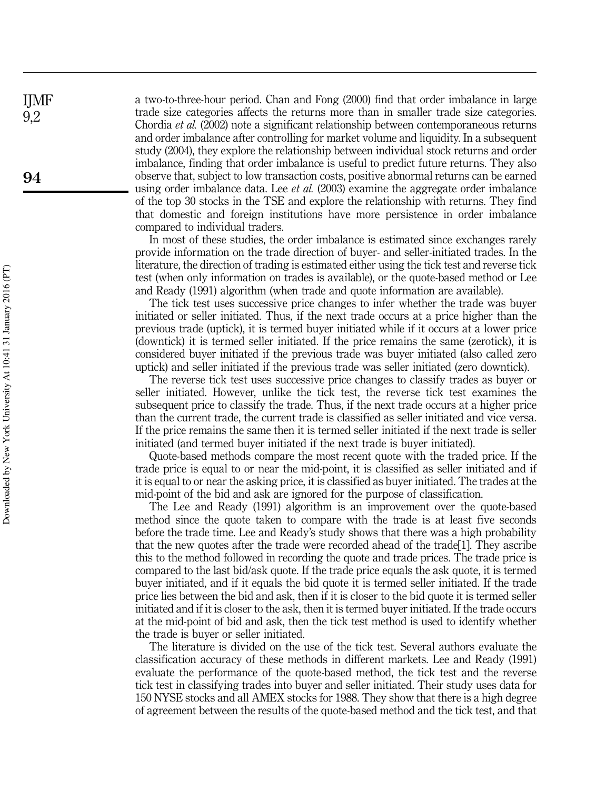a two-to-three-hour period. Chan and Fong (2000) find that order imbalance in large trade size categories affects the returns more than in smaller trade size categories. Chordia *et al.* (2002) note a significant relationship between contemporaneous returns and order imbalance after controlling for market volume and liquidity. In a subsequent study (2004), they explore the relationship between individual stock returns and order imbalance, finding that order imbalance is useful to predict future returns. They also observe that, subject to low transaction costs, positive abnormal returns can be earned using order imbalance data. Lee *et al.* (2003) examine the aggregate order imbalance of the top 30 stocks in the TSE and explore the relationship with returns. They find that domestic and foreign institutions have more persistence in order imbalance compared to individual traders.

In most of these studies, the order imbalance is estimated since exchanges rarely provide information on the trade direction of buyer- and seller-initiated trades. In the literature, the direction of trading is estimated either using the tick test and reverse tick test (when only information on trades is available), or the quote-based method or Lee and Ready (1991) algorithm (when trade and quote information are available).

The tick test uses successive price changes to infer whether the trade was buyer initiated or seller initiated. Thus, if the next trade occurs at a price higher than the previous trade (uptick), it is termed buyer initiated while if it occurs at a lower price (downtick) it is termed seller initiated. If the price remains the same (zerotick), it is considered buyer initiated if the previous trade was buyer initiated (also called zero uptick) and seller initiated if the previous trade was seller initiated (zero downtick).

The reverse tick test uses successive price changes to classify trades as buyer or seller initiated. However, unlike the tick test, the reverse tick test examines the subsequent price to classify the trade. Thus, if the next trade occurs at a higher price than the current trade, the current trade is classified as seller initiated and vice versa. If the price remains the same then it is termed seller initiated if the next trade is seller initiated (and termed buyer initiated if the next trade is buyer initiated).

Quote-based methods compare the most recent quote with the traded price. If the trade price is equal to or near the mid-point, it is classified as seller initiated and if it is equal to or near the asking price, it is classified as buyer initiated. The trades at the mid-point of the bid and ask are ignored for the purpose of classification.

The Lee and Ready (1991) algorithm is an improvement over the quote-based method since the quote taken to compare with the trade is at least five seconds before the trade time. Lee and Ready's study shows that there was a high probability that the new quotes after the trade were recorded ahead of the trade[1]. They ascribe this to the method followed in recording the quote and trade prices. The trade price is compared to the last bid/ask quote. If the trade price equals the ask quote, it is termed buyer initiated, and if it equals the bid quote it is termed seller initiated. If the trade price lies between the bid and ask, then if it is closer to the bid quote it is termed seller initiated and if it is closer to the ask, then it is termed buyer initiated. If the trade occurs at the mid-point of bid and ask, then the tick test method is used to identify whether the trade is buyer or seller initiated.

The literature is divided on the use of the tick test. Several authors evaluate the classification accuracy of these methods in different markets. Lee and Ready (1991) evaluate the performance of the quote-based method, the tick test and the reverse tick test in classifying trades into buyer and seller initiated. Their study uses data for 150 NYSE stocks and all AMEX stocks for 1988. They show that there is a high degree of agreement between the results of the quote-based method and the tick test, and that

94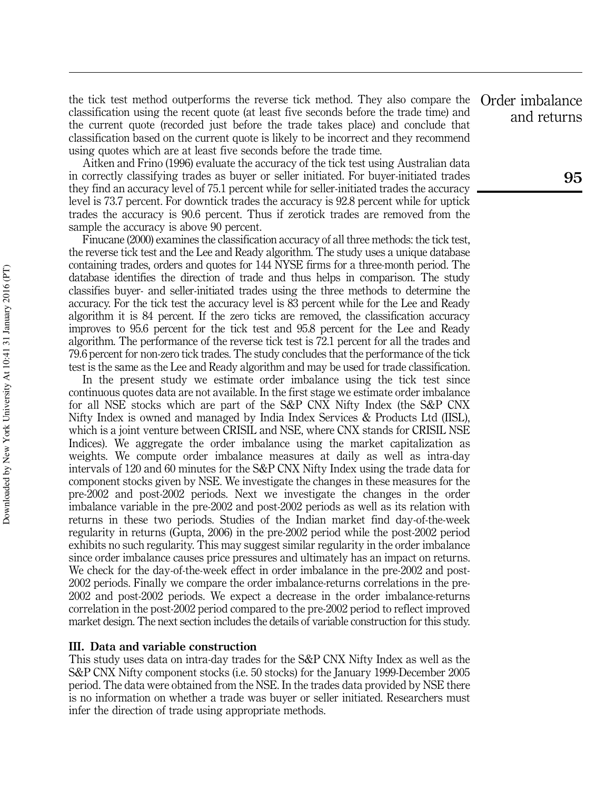the tick test method outperforms the reverse tick method. They also compare the classification using the recent quote (at least five seconds before the trade time) and the current quote (recorded just before the trade takes place) and conclude that classification based on the current quote is likely to be incorrect and they recommend using quotes which are at least five seconds before the trade time.

Aitken and Frino (1996) evaluate the accuracy of the tick test using Australian data in correctly classifying trades as buyer or seller initiated. For buyer-initiated trades they find an accuracy level of 75.1 percent while for seller-initiated trades the accuracy level is 73.7 percent. For downtick trades the accuracy is 92.8 percent while for uptick trades the accuracy is 90.6 percent. Thus if zerotick trades are removed from the sample the accuracy is above 90 percent.

Finucane (2000) examines the classification accuracy of all three methods: the tick test, the reverse tick test and the Lee and Ready algorithm. The study uses a unique database containing trades, orders and quotes for 144 NYSE firms for a three-month period. The database identifies the direction of trade and thus helps in comparison. The study classifies buyer- and seller-initiated trades using the three methods to determine the accuracy. For the tick test the accuracy level is 83 percent while for the Lee and Ready algorithm it is 84 percent. If the zero ticks are removed, the classification accuracy improves to 95.6 percent for the tick test and 95.8 percent for the Lee and Ready algorithm. The performance of the reverse tick test is 72.1 percent for all the trades and 79.6 percent for non-zero tick trades. The study concludes that the performance of the tick test is the same as the Lee and Ready algorithm and may be used for trade classification.

In the present study we estimate order imbalance using the tick test since continuous quotes data are not available. In the first stage we estimate order imbalance for all NSE stocks which are part of the S&P CNX Nifty Index (the S&P CNX Nifty Index is owned and managed by India Index Services & Products Ltd (IISL), which is a joint venture between CRISIL and NSE, where CNX stands for CRISIL NSE Indices). We aggregate the order imbalance using the market capitalization as weights. We compute order imbalance measures at daily as well as intra-day intervals of 120 and 60 minutes for the S&P CNX Nifty Index using the trade data for component stocks given by NSE. We investigate the changes in these measures for the pre-2002 and post-2002 periods. Next we investigate the changes in the order imbalance variable in the pre-2002 and post-2002 periods as well as its relation with returns in these two periods. Studies of the Indian market find day-of-the-week regularity in returns (Gupta, 2006) in the pre-2002 period while the post-2002 period exhibits no such regularity. This may suggest similar regularity in the order imbalance since order imbalance causes price pressures and ultimately has an impact on returns. We check for the day-of-the-week effect in order imbalance in the pre-2002 and post-2002 periods. Finally we compare the order imbalance-returns correlations in the pre-2002 and post-2002 periods. We expect a decrease in the order imbalance-returns correlation in the post-2002 period compared to the pre-2002 period to reflect improved market design. The next section includes the details of variable construction for this study.

#### III. Data and variable construction

This study uses data on intra-day trades for the S&P CNX Nifty Index as well as the S&P CNX Nifty component stocks (i.e. 50 stocks) for the January 1999-December 2005 period. The data were obtained from the NSE. In the trades data provided by NSE there is no information on whether a trade was buyer or seller initiated. Researchers must infer the direction of trade using appropriate methods.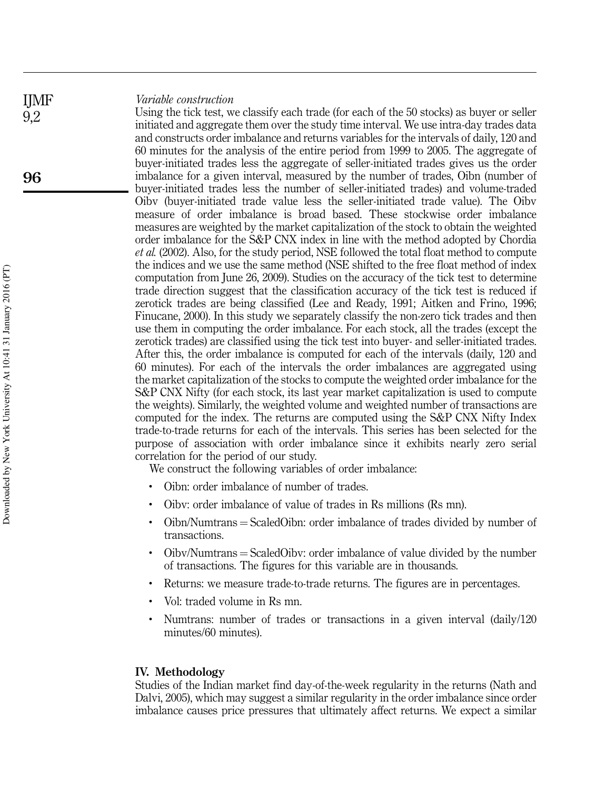#### *Variable construction*

Using the tick test, we classify each trade (for each of the 50 stocks) as buyer or seller initiated and aggregate them over the study time interval. We use intra-day trades data and constructs order imbalance and returns variables for the intervals of daily, 120 and 60 minutes for the analysis of the entire period from 1999 to 2005. The aggregate of buyer-initiated trades less the aggregate of seller-initiated trades gives us the order imbalance for a given interval, measured by the number of trades, Oibn (number of buyer-initiated trades less the number of seller-initiated trades) and volume-traded Oibv (buyer-initiated trade value less the seller-initiated trade value). The Oibv measure of order imbalance is broad based. These stockwise order imbalance measures are weighted by the market capitalization of the stock to obtain the weighted order imbalance for the S&P CNX index in line with the method adopted by Chordia *et al.* (2002). Also, for the study period, NSE followed the total float method to compute the indices and we use the same method (NSE shifted to the free float method of index computation from June 26, 2009). Studies on the accuracy of the tick test to determine trade direction suggest that the classification accuracy of the tick test is reduced if zerotick trades are being classified (Lee and Ready, 1991; Aitken and Frino, 1996; Finucane, 2000). In this study we separately classify the non-zero tick trades and then use them in computing the order imbalance. For each stock, all the trades (except the zerotick trades) are classified using the tick test into buyer- and seller-initiated trades. After this, the order imbalance is computed for each of the intervals (daily, 120 and 60 minutes). For each of the intervals the order imbalances are aggregated using the market capitalization of the stocks to compute the weighted order imbalance for the S&P CNX Nifty (for each stock, its last year market capitalization is used to compute the weights). Similarly, the weighted volume and weighted number of transactions are computed for the index. The returns are computed using the S&P CNX Nifty Index trade-to-trade returns for each of the intervals. This series has been selected for the purpose of association with order imbalance since it exhibits nearly zero serial correlation for the period of our study.

We construct the following variables of order imbalance:

- . Oibn: order imbalance of number of trades.
- . Oibv: order imbalance of value of trades in Rs millions (Rs mn).
- Oibn/Numtrans = ScaledOibn: order imbalance of trades divided by number of transactions.
- $Oibv/Numtrans = ScaledOibv: order imbalance of value divided by the number$ of transactions. The figures for this variable are in thousands.
- . Returns: we measure trade-to-trade returns. The figures are in percentages.
- . Vol: traded volume in Rs mn.
- . Numtrans: number of trades or transactions in a given interval (daily/120 minutes/60 minutes).

#### IV. Methodology

Studies of the Indian market find day-of-the-week regularity in the returns (Nath and Dalvi, 2005), which may suggest a similar regularity in the order imbalance since order imbalance causes price pressures that ultimately affect returns. We expect a similar

96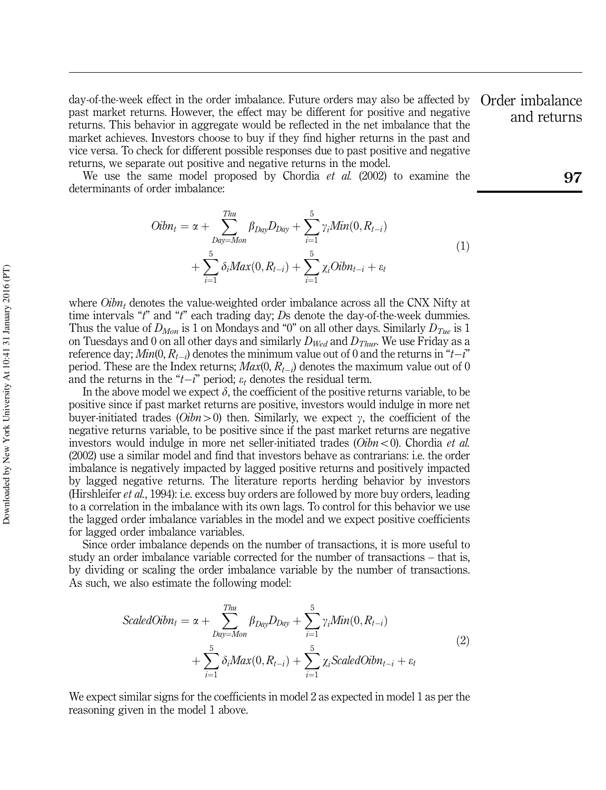day-of-the-week effect in the order imbalance. Future orders may also be affected by past market returns. However, the effect may be different for positive and negative returns. This behavior in aggregate would be reflected in the net imbalance that the market achieves. Investors choose to buy if they find higher returns in the past and vice versa. To check for different possible responses due to past positive and negative returns, we separate out positive and negative returns in the model.

We use the same model proposed by Chordia *et al.* (2002) to examine the determinants of order imbalance:

$$
Oibn_{t} = \alpha + \sum_{Day=Mon}^{Thu} \beta_{Day}D_{Day} + \sum_{i=1}^{5} \gamma_{i}Min(0, R_{t-i}) + \sum_{i=1}^{5} \delta_{i}Max(0, R_{t-i}) + \sum_{i=1}^{5} \chi_{i}Oibn_{t-i} + \varepsilon_{t}
$$
\n(1)

where  $Oibn_t$  denotes the value-weighted order imbalance across all the CNX Nifty at time intervals "*t*" and "*t*" each trading day; *D*s denote the day-of-the-week dummies. Thus the value of *DMon* is 1 on Mondays and "0" on all other days. Similarly *DTue* is 1 on Tuesdays and 0 on all other days and similarly *DWed* and *DThur*. We use Friday as a reference day;  $Min(0, R_{t-i})$  denotes the minimum value out of 0 and the returns in " $t-t$ " period. These are the Index returns;  $Max(0, R_{t-i})$  denotes the maximum value out of 0 and the returns in the " $t$ -*i*" period;  $\varepsilon_t$  denotes the residual term.

In the above model we expect  $\delta$ , the coefficient of the positive returns variable, to be positive since if past market returns are positive, investors would indulge in more net buyer-initiated trades  $(Oibn>0)$  then. Similarly, we expect  $\gamma$ , the coefficient of the negative returns variable, to be positive since if the past market returns are negative investors would indulge in more net seller-initiated trades (*Oibn* < 0). Chordia *et al.* (2002) use a similar model and find that investors behave as contrarians: i.e. the order imbalance is negatively impacted by lagged positive returns and positively impacted by lagged negative returns. The literature reports herding behavior by investors (Hirshleifer *et al.*, 1994): i.e. excess buy orders are followed by more buy orders, leading to a correlation in the imbalance with its own lags. To control for this behavior we use the lagged order imbalance variables in the model and we expect positive coefficients for lagged order imbalance variables.

Since order imbalance depends on the number of transactions, it is more useful to study an order imbalance variable corrected for the number of transactions – that is, by dividing or scaling the order imbalance variable by the number of transactions. As such, we also estimate the following model:

$$
ScaledOibn_t = \alpha + \sum_{Day=Mon}^{Thu} \beta_{Day}D_{Day} + \sum_{i=1}^{5} \gamma_i Min(0, R_{t-i}) + \sum_{i=1}^{5} \delta_i Max(0, R_{t-i}) + \sum_{i=1}^{5} \chi_i ScaledOibn_{t-i} + \varepsilon_t
$$
\n(2)

We expect similar signs for the coefficients in model 2 as expected in model 1 as per the reasoning given in the model 1 above.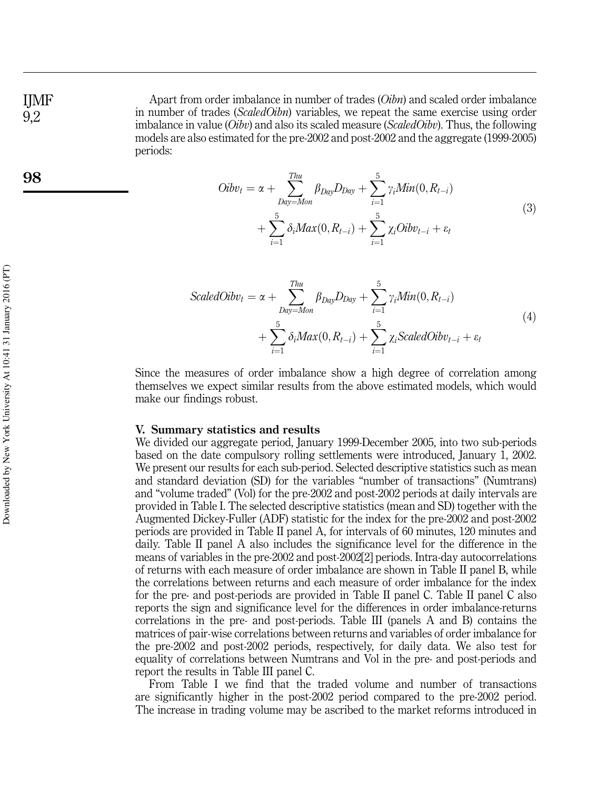Apart from order imbalance in number of trades (*Oibn*) and scaled order imbalance in number of trades (*ScaledOibn*) variables, we repeat the same exercise using order imbalance in value (*Oibv*) and also its scaled measure (*ScaledOibv*). Thus, the following models are also estimated for the pre-2002 and post-2002 and the aggregate (1999-2005) periods:

$$
Oibv_{t} = \alpha + \sum_{Day=Mon}^{Thu} \beta_{Day}D_{Day} + \sum_{i=1}^{5} \gamma_{i}Min(0, R_{t-i}) + \sum_{i=1}^{5} \delta_{i}Max(0, R_{t-i}) + \sum_{i=1}^{5} \chi_{i}Oibv_{t-i} + \varepsilon_{t}
$$
\n(3)

ScaledOib
$$
v_t = \alpha + \sum_{Day=Mon}^{Thu} \beta_{Day}D_{Day} + \sum_{i=1}^{5} \gamma_i Min(0, R_{t-i}) + \sum_{i=1}^{5} \delta_i Max(0, R_{t-i}) + \sum_{i=1}^{5} \chi_i ScaledOibv_{t-i} + \varepsilon_t
$$
 (4)

Since the measures of order imbalance show a high degree of correlation among themselves we expect similar results from the above estimated models, which would make our findings robust.

#### V. Summary statistics and results

We divided our aggregate period, January 1999-December 2005, into two sub-periods based on the date compulsory rolling settlements were introduced, January 1, 2002. We present our results for each sub-period. Selected descriptive statistics such as mean and standard deviation (SD) for the variables "number of transactions" (Numtrans) and "volume traded" (Vol) for the pre-2002 and post-2002 periods at daily intervals are provided in Table I. The selected descriptive statistics (mean and SD) together with the Augmented Dickey-Fuller (ADF) statistic for the index for the pre-2002 and post-2002 periods are provided in Table II panel A, for intervals of 60 minutes, 120 minutes and daily. Table II panel A also includes the significance level for the difference in the means of variables in the pre-2002 and post-2002[2] periods. Intra-day autocorrelations of returns with each measure of order imbalance are shown in Table II panel B, while the correlations between returns and each measure of order imbalance for the index for the pre- and post-periods are provided in Table II panel C. Table II panel C also reports the sign and significance level for the differences in order imbalance-returns correlations in the pre- and post-periods. Table III (panels A and B) contains the matrices of pair-wise correlations between returns and variables of order imbalance for the pre-2002 and post-2002 periods, respectively, for daily data. We also test for equality of correlations between Numtrans and Vol in the pre- and post-periods and report the results in Table III panel C.

From Table I we find that the traded volume and number of transactions are significantly higher in the post-2002 period compared to the pre-2002 period. The increase in trading volume may be ascribed to the market reforms introduced in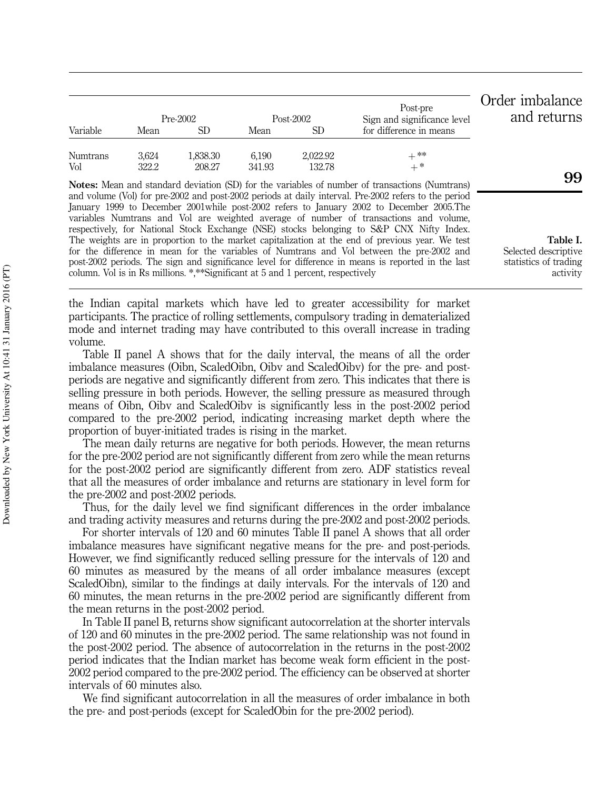|                  |                | Pre-2002                      |                 | Post-2002               | Post-pre<br>Sign and significance level | Order imbalance<br>and returns |
|------------------|----------------|-------------------------------|-----------------|-------------------------|-----------------------------------------|--------------------------------|
| Variable         | Mean           | <b>SD</b>                     | Mean            | SD.                     | for difference in means                 |                                |
| Numtrans<br>Vol  | 3.624<br>322.2 | 1,838.30<br>208.27            | 6,190<br>341.93 | 2,022.92<br>132.78      | $+$ **<br>$+$ *                         |                                |
| $\mathbf{r}$ and |                | $1 \t1 \t1 \t1 \t1 \t1 \t(0)$ |                 | $\cdot$ $\cdot$ $\cdot$ | $\sim$ $\sim$                           | 99                             |

Table I.

activity

Selected descriptive statistics of trading

Notes: Mean and standard deviation (SD) for the variables of number of transactions (Numtrans) and volume (Vol) for pre-2002 and post-2002 periods at daily interval. Pre-2002 refers to the period January 1999 to December 2001while post-2002 refers to January 2002 to December 2005.The variables Numtrans and Vol are weighted average of number of transactions and volume, respectively, for National Stock Exchange (NSE) stocks belonging to S&P CNX Nifty Index. The weights are in proportion to the market capitalization at the end of previous year. We test for the difference in mean for the variables of Numtrans and Vol between the pre-2002 and post-2002 periods. The sign and significance level for difference in means is reported in the last column. Vol is in Rs millions. \*,\*\*Significant at 5 and 1 percent, respectively

the Indian capital markets which have led to greater accessibility for market participants. The practice of rolling settlements, compulsory trading in dematerialized mode and internet trading may have contributed to this overall increase in trading volume.

Table II panel A shows that for the daily interval, the means of all the order imbalance measures (Oibn, ScaledOibn, Oibv and ScaledOibv) for the pre- and postperiods are negative and significantly different from zero. This indicates that there is selling pressure in both periods. However, the selling pressure as measured through means of Oibn, Oibv and ScaledOibv is significantly less in the post-2002 period compared to the pre-2002 period, indicating increasing market depth where the proportion of buyer-initiated trades is rising in the market.

The mean daily returns are negative for both periods. However, the mean returns for the pre-2002 period are not significantly different from zero while the mean returns for the post-2002 period are significantly different from zero. ADF statistics reveal that all the measures of order imbalance and returns are stationary in level form for the pre-2002 and post-2002 periods.

Thus, for the daily level we find significant differences in the order imbalance and trading activity measures and returns during the pre-2002 and post-2002 periods.

For shorter intervals of 120 and 60 minutes Table II panel A shows that all order imbalance measures have significant negative means for the pre- and post-periods. However, we find significantly reduced selling pressure for the intervals of 120 and 60 minutes as measured by the means of all order imbalance measures (except ScaledOibn), similar to the findings at daily intervals. For the intervals of 120 and 60 minutes, the mean returns in the pre-2002 period are significantly different from the mean returns in the post-2002 period.

In Table II panel B, returns show significant autocorrelation at the shorter intervals of 120 and 60 minutes in the pre-2002 period. The same relationship was not found in the post-2002 period. The absence of autocorrelation in the returns in the post-2002 period indicates that the Indian market has become weak form efficient in the post-2002 period compared to the pre-2002 period. The efficiency can be observed at shorter intervals of 60 minutes also.

We find significant autocorrelation in all the measures of order imbalance in both the pre- and post-periods (except for ScaledObin for the pre-2002 period).

Downloaded by New York University At 10:41 31 January 2016 (PT) Downloaded by New York University At 10:41 31 January 2016 (PT)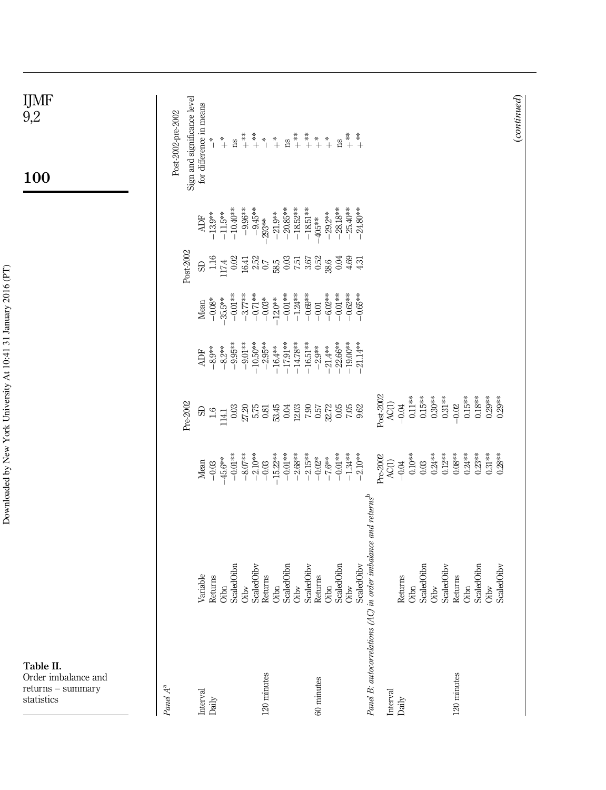| Table II.<br>Order imbalance and<br>returns - summary<br>statistics |                                                                                               |                                                                                                 |                                                                                                    |                                                                                    |                                                                              |                                                                                                                                                                                                                                                                                                                        |                                                                                     | <b>IJMF</b><br>9,2<br>100                                                                                                                         |
|---------------------------------------------------------------------|-----------------------------------------------------------------------------------------------|-------------------------------------------------------------------------------------------------|----------------------------------------------------------------------------------------------------|------------------------------------------------------------------------------------|------------------------------------------------------------------------------|------------------------------------------------------------------------------------------------------------------------------------------------------------------------------------------------------------------------------------------------------------------------------------------------------------------------|-------------------------------------------------------------------------------------|---------------------------------------------------------------------------------------------------------------------------------------------------|
| Panel $A^a$                                                         |                                                                                               |                                                                                                 | Pre-2002                                                                                           |                                                                                    |                                                                              | Post-2002                                                                                                                                                                                                                                                                                                              |                                                                                     | Sign and significance level<br>Post-2002-pre-2002                                                                                                 |
| Interval<br>Daily                                                   | Variable<br>Returns                                                                           | Mean<br>$-0.03$                                                                                 | S<br>$1.6\,$                                                                                       | $-8.9***$<br>ADF                                                                   | $-0.08$ *<br>Mean                                                            | 1.16<br>$\Theta$                                                                                                                                                                                                                                                                                                       | $-13.9***$<br>ADF                                                                   | for difference in means<br>$\tilde{\tilde{z}}_1$                                                                                                  |
|                                                                     | ScaledOibn<br>Oibn<br>Oibv                                                                    | $-8.07***$<br>$-0.01***$<br>$-45.6***$                                                          | $0.03\,$<br>114.1                                                                                  | $-9.01**$<br>$-8.2***$<br>-9.95**                                                  | $-3.77***$<br>$-35.5***$<br>-0.01**                                          |                                                                                                                                                                                                                                                                                                                        | $-10.40***$<br>$-9.96***$<br>$-11.5***$                                             | $\frac{*}{*}$<br>$*$ <sup>*</sup><br>ns                                                                                                           |
| 120 minutes                                                         | ScaledOibn<br>ScaledOibv<br>Returns<br>Oibv<br>Oibn                                           | $-2.10***$<br>$-0.01**$<br>$-2.68***$<br>$-2.15***$<br>$-15.22***$<br>$-0.03$                   |                                                                                                    | $-17.91**$<br>$-14.78***$<br>$-10.50***$<br>$-2.95***$<br>$-16.4***$               | $-0.01**$<br>$-0.71**$<br>$-1.24***$<br>$-0.69***$<br>$-0.03*$<br>$-12.0***$ |                                                                                                                                                                                                                                                                                                                        | $-21.9***$<br>$-20.85***$<br>$-9.45***$<br>$-293***$<br>$-18.52***$                 | $\frac{*}{*}$<br>$\frac{1}{2}$<br>$\ddot{*}$<br>$\ddot{\tilde{}}$<br>ns                                                                           |
| 60 minutes                                                          | ScaledOibn<br>ScaledOibv<br>ScaledOibv<br>Returns<br>Oibn<br>Oibv                             | $-0.01***$<br>$-1.34***$<br>$-2.10***$<br>$-0.02*$<br>$-7.6***$                                 | 25<br>25 56 56 56 56 56 56 56 56<br>25 56 56 56 56 56 56 56                                        | $-16.51***$<br>$-22.66***$<br>$-19.00***$<br>$-21.14***$<br>$-2.9***$<br>$-21.4**$ | $-6.02**$<br>$-0.01**$<br>$-0.62***$<br>$-0.01$                              | $\begin{array}{l} 11 \ 74 \\ 11 \ 84 \\ 13 \ 15 \\ 14 \ 16 \\ 15 \ 17 \\ 16 \ 18 \\ 17 \ 18 \\ 18 \ 19 \\ 19 \ 10 \\ 19 \ 10 \\ 10 \ 10 \\ 13 \ 10 \\ 16 \ 10 \\ 17 \ 10 \\ 18 \ 10 \\ 19 \ 10 \\ 19 \ 10 \\ 19 \ 10 \\ 19 \ 10 \\ 19 \ 10 \\ 19 \ 10 \\ 19 \ 10 \\ 19 \ 10 \\ 19 \ 10 \\ 19 \ 10 \\ 19 \ 10 \\ 19 \ $ | $-28.18***$<br>$-25.40***$<br>$-24.80***$<br>$-18.51***$<br>$-29.2***$<br>$-405***$ | $\frac{*}{*}$<br>$\begin{array}{ccc} \ast & \ast \\ \ast & + \end{array}$<br>$\begin{array}{c} * \\ + \\ + \end{array}$<br>$\overline{\text{ns}}$ |
| Interval<br>Daily                                                   | Panel B: autocorrelations (AC) in order imbalance and returns <sup>b</sup><br>Returns<br>Oibn | $0.10***$<br>Pre-2002<br>AC(1)<br>$-0.04$                                                       | $\frac{\text{Post-2002}}{\text{AC}(1)}$<br>$0.11**$<br>$-0.04$                                     |                                                                                    |                                                                              |                                                                                                                                                                                                                                                                                                                        |                                                                                     |                                                                                                                                                   |
| 120 minutes                                                         | ScaledOibn<br>ScaledOibn<br>ScaledOibv<br>ScaledOibv<br>Returns<br>Oibv<br>Oibn<br>Oibv       | $0.08***$<br>$0.24***$<br>$0.12***$<br>$0.24***$<br>$0.31***$<br>$0.23***$<br>$0.28***$<br>0.03 | $0.15***$<br>$0.30***$<br>$0.31***$<br>$0.15***$<br>$0.18***$<br>$0.29***$<br>$0.29***$<br>$-0.02$ |                                                                                    |                                                                              |                                                                                                                                                                                                                                                                                                                        |                                                                                     |                                                                                                                                                   |
|                                                                     |                                                                                               |                                                                                                 |                                                                                                    |                                                                                    |                                                                              |                                                                                                                                                                                                                                                                                                                        |                                                                                     | (continued)                                                                                                                                       |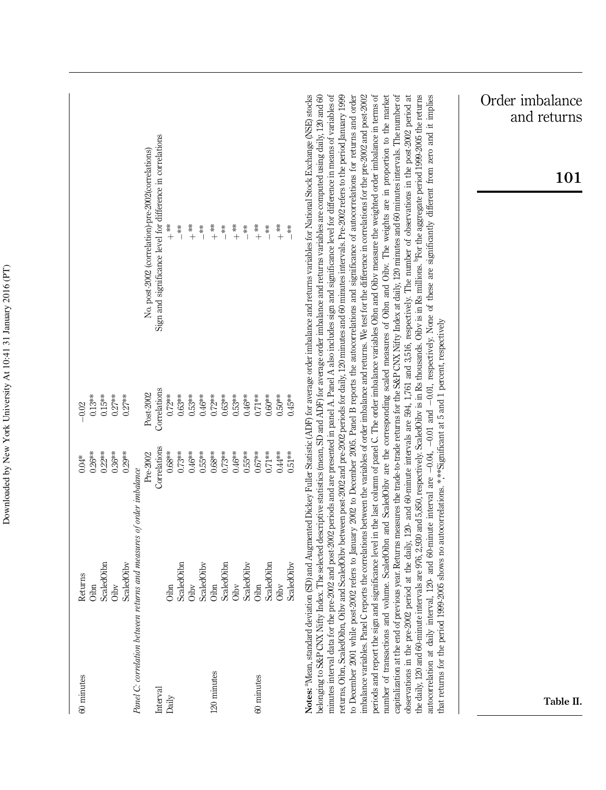| 60 minutes                                                            | Returns                                                                                | $0.04*$      | $-0.02$      |                                                                                                                                                                                                                                                                                                                                                                                                                                                                                                                                                                                                                                                                                                                                                                                                                                                                                                                                                                                                                                                                                                                                                                                                                                                                                                                                                                                                                                                                                                                                                                                                                                                                                                                                                                                                                                                                                                                                                                                                                                                                                                                                                                                                                 |
|-----------------------------------------------------------------------|----------------------------------------------------------------------------------------|--------------|--------------|-----------------------------------------------------------------------------------------------------------------------------------------------------------------------------------------------------------------------------------------------------------------------------------------------------------------------------------------------------------------------------------------------------------------------------------------------------------------------------------------------------------------------------------------------------------------------------------------------------------------------------------------------------------------------------------------------------------------------------------------------------------------------------------------------------------------------------------------------------------------------------------------------------------------------------------------------------------------------------------------------------------------------------------------------------------------------------------------------------------------------------------------------------------------------------------------------------------------------------------------------------------------------------------------------------------------------------------------------------------------------------------------------------------------------------------------------------------------------------------------------------------------------------------------------------------------------------------------------------------------------------------------------------------------------------------------------------------------------------------------------------------------------------------------------------------------------------------------------------------------------------------------------------------------------------------------------------------------------------------------------------------------------------------------------------------------------------------------------------------------------------------------------------------------------------------------------------------------|
|                                                                       | Oibn                                                                                   | $0.26***$    | $0.13**$     |                                                                                                                                                                                                                                                                                                                                                                                                                                                                                                                                                                                                                                                                                                                                                                                                                                                                                                                                                                                                                                                                                                                                                                                                                                                                                                                                                                                                                                                                                                                                                                                                                                                                                                                                                                                                                                                                                                                                                                                                                                                                                                                                                                                                                 |
|                                                                       | ScaledOibn                                                                             | $0.22***$    | $0.15***$    |                                                                                                                                                                                                                                                                                                                                                                                                                                                                                                                                                                                                                                                                                                                                                                                                                                                                                                                                                                                                                                                                                                                                                                                                                                                                                                                                                                                                                                                                                                                                                                                                                                                                                                                                                                                                                                                                                                                                                                                                                                                                                                                                                                                                                 |
|                                                                       | Oibv                                                                                   | $0.36***$    | $0.27***$    |                                                                                                                                                                                                                                                                                                                                                                                                                                                                                                                                                                                                                                                                                                                                                                                                                                                                                                                                                                                                                                                                                                                                                                                                                                                                                                                                                                                                                                                                                                                                                                                                                                                                                                                                                                                                                                                                                                                                                                                                                                                                                                                                                                                                                 |
|                                                                       | ScaledOibv                                                                             | $0.29***$    | $0.27***$    |                                                                                                                                                                                                                                                                                                                                                                                                                                                                                                                                                                                                                                                                                                                                                                                                                                                                                                                                                                                                                                                                                                                                                                                                                                                                                                                                                                                                                                                                                                                                                                                                                                                                                                                                                                                                                                                                                                                                                                                                                                                                                                                                                                                                                 |
| Panel C: correlation between                                          | returns and measures of order imbalance                                                |              |              |                                                                                                                                                                                                                                                                                                                                                                                                                                                                                                                                                                                                                                                                                                                                                                                                                                                                                                                                                                                                                                                                                                                                                                                                                                                                                                                                                                                                                                                                                                                                                                                                                                                                                                                                                                                                                                                                                                                                                                                                                                                                                                                                                                                                                 |
|                                                                       |                                                                                        | Pre-2002     | Post-2002    | No. post-2002 (correlation)-pre-2002(correlations)                                                                                                                                                                                                                                                                                                                                                                                                                                                                                                                                                                                                                                                                                                                                                                                                                                                                                                                                                                                                                                                                                                                                                                                                                                                                                                                                                                                                                                                                                                                                                                                                                                                                                                                                                                                                                                                                                                                                                                                                                                                                                                                                                              |
| Interval                                                              |                                                                                        | Correlations | Correlations | Sign and significance level for difference in correlations                                                                                                                                                                                                                                                                                                                                                                                                                                                                                                                                                                                                                                                                                                                                                                                                                                                                                                                                                                                                                                                                                                                                                                                                                                                                                                                                                                                                                                                                                                                                                                                                                                                                                                                                                                                                                                                                                                                                                                                                                                                                                                                                                      |
| $_{\rm Daily}$                                                        | Oibn                                                                                   | $0.68***$    | $0.72***$    | $\frac{*}{*}$                                                                                                                                                                                                                                                                                                                                                                                                                                                                                                                                                                                                                                                                                                                                                                                                                                                                                                                                                                                                                                                                                                                                                                                                                                                                                                                                                                                                                                                                                                                                                                                                                                                                                                                                                                                                                                                                                                                                                                                                                                                                                                                                                                                                   |
|                                                                       | ScaledOibn                                                                             | $0.73***$    | $0.63***$    | $\stackrel{*}{*}_{+}$                                                                                                                                                                                                                                                                                                                                                                                                                                                                                                                                                                                                                                                                                                                                                                                                                                                                                                                                                                                                                                                                                                                                                                                                                                                                                                                                                                                                                                                                                                                                                                                                                                                                                                                                                                                                                                                                                                                                                                                                                                                                                                                                                                                           |
|                                                                       | Oibv                                                                                   | $0.46***$    | $0.53***$    | $* +$                                                                                                                                                                                                                                                                                                                                                                                                                                                                                                                                                                                                                                                                                                                                                                                                                                                                                                                                                                                                                                                                                                                                                                                                                                                                                                                                                                                                                                                                                                                                                                                                                                                                                                                                                                                                                                                                                                                                                                                                                                                                                                                                                                                                           |
|                                                                       | ScaledOibv                                                                             | $0.55***$    | $0.46***$    | $*$                                                                                                                                                                                                                                                                                                                                                                                                                                                                                                                                                                                                                                                                                                                                                                                                                                                                                                                                                                                                                                                                                                                                                                                                                                                                                                                                                                                                                                                                                                                                                                                                                                                                                                                                                                                                                                                                                                                                                                                                                                                                                                                                                                                                             |
| 120 minutes                                                           | Oibn                                                                                   | $0.68***$    | $0.72***$    | $\frac{*}{*}$                                                                                                                                                                                                                                                                                                                                                                                                                                                                                                                                                                                                                                                                                                                                                                                                                                                                                                                                                                                                                                                                                                                                                                                                                                                                                                                                                                                                                                                                                                                                                                                                                                                                                                                                                                                                                                                                                                                                                                                                                                                                                                                                                                                                   |
|                                                                       | ScaledOibn                                                                             | $0.73***$    | $0.63***$    | $\ddot{*}$                                                                                                                                                                                                                                                                                                                                                                                                                                                                                                                                                                                                                                                                                                                                                                                                                                                                                                                                                                                                                                                                                                                                                                                                                                                                                                                                                                                                                                                                                                                                                                                                                                                                                                                                                                                                                                                                                                                                                                                                                                                                                                                                                                                                      |
|                                                                       | <b>Oibv</b>                                                                            | $0.46***$    | $0.53***$    | $*$                                                                                                                                                                                                                                                                                                                                                                                                                                                                                                                                                                                                                                                                                                                                                                                                                                                                                                                                                                                                                                                                                                                                                                                                                                                                                                                                                                                                                                                                                                                                                                                                                                                                                                                                                                                                                                                                                                                                                                                                                                                                                                                                                                                                             |
|                                                                       | ScaledOibv                                                                             | $0.55***$    | $0.46**$     | $\stackrel{*}{\ast}_{+}$                                                                                                                                                                                                                                                                                                                                                                                                                                                                                                                                                                                                                                                                                                                                                                                                                                                                                                                                                                                                                                                                                                                                                                                                                                                                                                                                                                                                                                                                                                                                                                                                                                                                                                                                                                                                                                                                                                                                                                                                                                                                                                                                                                                        |
| 60 minutes                                                            | Oibn                                                                                   | $0.67***$    | $0.71**$     | $\frac{*}{*}$                                                                                                                                                                                                                                                                                                                                                                                                                                                                                                                                                                                                                                                                                                                                                                                                                                                                                                                                                                                                                                                                                                                                                                                                                                                                                                                                                                                                                                                                                                                                                                                                                                                                                                                                                                                                                                                                                                                                                                                                                                                                                                                                                                                                   |
|                                                                       | ScaledOibn                                                                             | $0.71***$    | $0.60**$     | $*$                                                                                                                                                                                                                                                                                                                                                                                                                                                                                                                                                                                                                                                                                                                                                                                                                                                                                                                                                                                                                                                                                                                                                                                                                                                                                                                                                                                                                                                                                                                                                                                                                                                                                                                                                                                                                                                                                                                                                                                                                                                                                                                                                                                                             |
|                                                                       | Oiby                                                                                   | 0.44 **      | $0.50**$     | $* +$                                                                                                                                                                                                                                                                                                                                                                                                                                                                                                                                                                                                                                                                                                                                                                                                                                                                                                                                                                                                                                                                                                                                                                                                                                                                                                                                                                                                                                                                                                                                                                                                                                                                                                                                                                                                                                                                                                                                                                                                                                                                                                                                                                                                           |
|                                                                       | ScaledOibv                                                                             | $0.51***$    | $0.45***$    | $*$                                                                                                                                                                                                                                                                                                                                                                                                                                                                                                                                                                                                                                                                                                                                                                                                                                                                                                                                                                                                                                                                                                                                                                                                                                                                                                                                                                                                                                                                                                                                                                                                                                                                                                                                                                                                                                                                                                                                                                                                                                                                                                                                                                                                             |
| Notes: <sup>a</sup> Mean, standard dev<br>that returns for the period | 1999-2005 shows no autocorrelations. *,***Significant at 5 and 1 percent, respectively |              |              | capitalization at the end of previous year. Returns measures the trade-to-trade returns for the S&P CNX Nifty Index at daily, 120 minutes and 60 minutes intervals. The number of<br>returns, Oibn, ScaledOibn, Oibv and ScaledOibv between post-2002 and pre-2002 periods for daily, 120 minutes and 60 minutes intervals. Pre-2002 refers to the period January 1999<br>iation (SD) and Augmented Dickey Fuller Statistic (ADF) for average order imbalance and returns variables for National Stock Exchange (NSE) stocks<br>to December 2001 while post-2002 refers to January 2002 to December 2005. Panel B reports the autocorrelations and significance of autocorrelations for returns and order<br>imbalance variables. Panel C reports the correlations between the variables of order imbalance and returns. We test for the difference in correlations for the pre-2002 and post-2002<br>periods and report the sign and significance level in the last column of panel C. The order imbalance variables Oibn and Oibv measure the weighted order imbalance in terms of<br>the daily, 120 and 60-minute intervals are 976, 2,930 and 5,850, respectively. ScaledOibv is in Rs thousands. Oibv is in Rs millions. <sup>b</sup> For the aggregate period 1999-2005 the returns<br>autocorrelation at daily interval, 120- and 60-minute interval are $-0.04$ , $-0.01$ and $-0.01$ , respectively. None of these are significantly different from zero and it implies<br>belonging to S&P CNX Nifty Index. The selected descriptive statistics (mean, SD and ADF) for average order imbalance and returns variables are computed using daily, 120 and 60<br>minutes interval data for the pre-2002 and post-2002 periods and are presented in panel A. Panel A also includes sign and significance level for difference in means of variables of<br>number of transactions and volume. ScaledOibn and ScaledOibv are the corresponding scaled measures of Oibn and Oibv. The weights are in proportion to the market<br>observations in the pre-2002 period at the daily, 120- and 60-minute intervals are 594, 1,761 and 3,516, respectively. The number of observations in the post-2002 period at |
|                                                                       |                                                                                        |              |              |                                                                                                                                                                                                                                                                                                                                                                                                                                                                                                                                                                                                                                                                                                                                                                                                                                                                                                                                                                                                                                                                                                                                                                                                                                                                                                                                                                                                                                                                                                                                                                                                                                                                                                                                                                                                                                                                                                                                                                                                                                                                                                                                                                                                                 |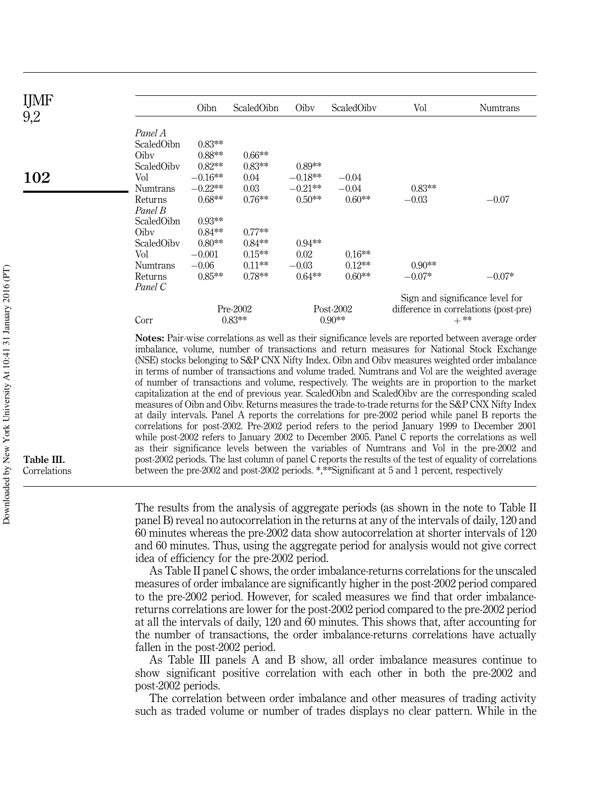| <b>IJMF</b> |                   | Oibn      | ScaledOibn | Oiby                                               | ScaledOiby | Vol      | Numtrans                              |
|-------------|-------------------|-----------|------------|----------------------------------------------------|------------|----------|---------------------------------------|
| 9,2         |                   |           |            |                                                    |            |          |                                       |
|             | Panel A           |           |            |                                                    |            |          |                                       |
|             | ScaledOibn        | $0.83**$  |            |                                                    |            |          |                                       |
|             | Oiby              | $0.88**$  | $0.66**$   |                                                    |            |          |                                       |
|             | ScaledOibv        | $0.82**$  | $0.83**$   | $0.89**$                                           |            |          |                                       |
| 102         | Vol               | $-0.16**$ | 0.04       | $-0.18**$                                          | $-0.04$    |          |                                       |
|             | Numtrans          | $-0.22**$ | 0.03       | $-0.21**$                                          | $-0.04$    | $0.83**$ |                                       |
|             | Returns           | $0.68**$  | $0.76**$   | $0.50**$                                           | $0.60**$   | $-0.03$  | $-0.07$                               |
|             | Panel B           |           |            |                                                    |            |          |                                       |
|             | ScaledOibn        | $0.93**$  |            |                                                    |            |          |                                       |
|             | Oiby              | $0.84**$  | $0.77**$   |                                                    |            |          |                                       |
|             | <b>ScaledOiby</b> | $0.80**$  | $0.84**$   | $0.94**$                                           |            |          |                                       |
|             | Vol               | $-0.001$  | $0.15**$   | 0.02                                               | $0.16**$   |          |                                       |
|             | Numtrans          | $-0.06$   | $0.11**$   | $-0.03$                                            | $0.12**$   | $0.90**$ |                                       |
|             | Returns           | $0.85**$  | $0.78**$   | $0.64**$                                           | $0.60**$   | $-0.07*$ | $-0.07*$                              |
|             | Panel C           |           |            |                                                    |            |          |                                       |
|             |                   |           |            |                                                    |            |          | Sign and significance level for       |
|             |                   |           | Pre-2002   |                                                    | Post-2002  |          | difference in correlations (post-pre) |
|             | Corr              |           | $0.83**$   |                                                    | $0.90**$   |          | $+$ **                                |
|             | .                 |           | $\cdots$   | $\mathbf{a}$ , and $\mathbf{a}$ , and $\mathbf{a}$ |            | .        |                                       |

Notes: Pair-wise correlations as well as their significance levels are reported between average order imbalance, volume, number of transactions and return measures for National Stock Exchange (NSE) stocks belonging to S&P CNX Nifty Index. Oibn and Oibv measures weighted order imbalance in terms of number of transactions and volume traded. Numtrans and Vol are the weighted average of number of transactions and volume, respectively. The weights are in proportion to the market capitalization at the end of previous year. ScaledOibn and ScaledOibv are the corresponding scaled measures of Oibn and Oibv. Returns measures the trade-to-trade returns for the S&P CNX Nifty Index at daily intervals. Panel A reports the correlations for pre-2002 period while panel B reports the correlations for post-2002. Pre-2002 period refers to the period January 1999 to December 2001 while post-2002 refers to January 2002 to December 2005. Panel C reports the correlations as well as their significance levels between the variables of Numtrans and Vol in the pre-2002 and post-2002 periods. The last column of panel C reports the results of the test of equality of correlations between the pre-2002 and post-2002 periods. \*,\*\*Significant at 5 and 1 percent, respectively

The results from the analysis of aggregate periods (as shown in the note to Table II panel B) reveal no autocorrelation in the returns at any of the intervals of daily, 120 and 60 minutes whereas the pre-2002 data show autocorrelation at shorter intervals of 120 and 60 minutes. Thus, using the aggregate period for analysis would not give correct idea of efficiency for the pre-2002 period.

As Table II panel C shows, the order imbalance-returns correlations for the unscaled measures of order imbalance are significantly higher in the post-2002 period compared to the pre-2002 period. However, for scaled measures we find that order imbalancereturns correlations are lower for the post-2002 period compared to the pre-2002 period at all the intervals of daily, 120 and 60 minutes. This shows that, after accounting for the number of transactions, the order imbalance-returns correlations have actually fallen in the post-2002 period.

As Table III panels A and B show, all order imbalance measures continue to show significant positive correlation with each other in both the pre-2002 and post-2002 periods.

The correlation between order imbalance and other measures of trading activity such as traded volume or number of trades displays no clear pattern. While in the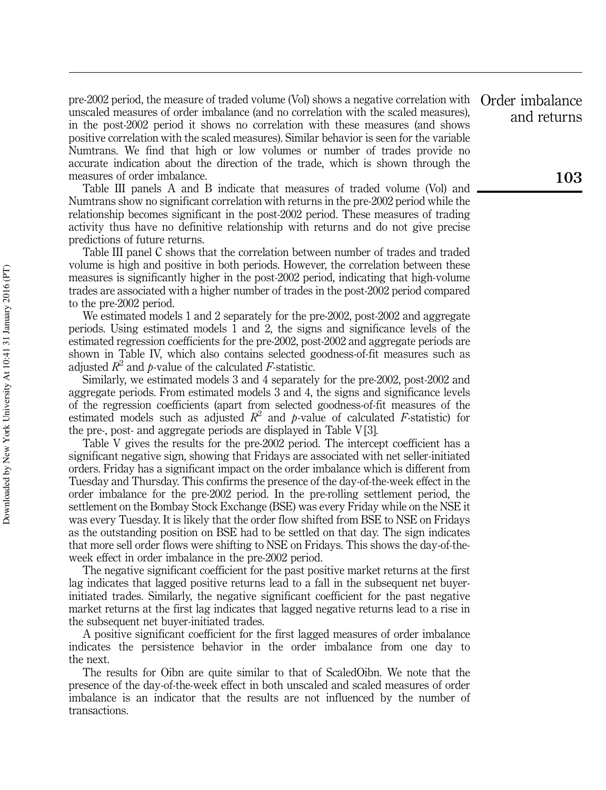pre-2002 period, the measure of traded volume (Vol) shows a negative correlation with unscaled measures of order imbalance (and no correlation with the scaled measures), in the post-2002 period it shows no correlation with these measures (and shows positive correlation with the scaled measures). Similar behavior is seen for the variable Numtrans. We find that high or low volumes or number of trades provide no accurate indication about the direction of the trade, which is shown through the measures of order imbalance.

Table III panels A and B indicate that measures of traded volume (Vol) and Numtrans show no significant correlation with returns in the pre-2002 period while the relationship becomes significant in the post-2002 period. These measures of trading activity thus have no definitive relationship with returns and do not give precise predictions of future returns.

Table III panel C shows that the correlation between number of trades and traded volume is high and positive in both periods. However, the correlation between these measures is significantly higher in the post-2002 period, indicating that high-volume trades are associated with a higher number of trades in the post-2002 period compared to the pre-2002 period.

We estimated models 1 and 2 separately for the pre-2002, post-2002 and aggregate periods. Using estimated models 1 and 2, the signs and significance levels of the estimated regression coefficients for the pre-2002, post-2002 and aggregate periods are shown in Table IV, which also contains selected goodness-of-fit measures such as adjusted  $R^2$  and  $p$ -value of the calculated  $F$ -statistic.

Similarly, we estimated models 3 and 4 separately for the pre-2002, post-2002 and aggregate periods. From estimated models 3 and 4, the signs and significance levels of the regression coefficients (apart from selected goodness-of-fit measures of the estimated models such as adjusted  $R^2$  and p-value of calculated F-statistic) for the pre-, post- and aggregate periods are displayed in Table V [3].

Table V gives the results for the pre-2002 period. The intercept coefficient has a significant negative sign, showing that Fridays are associated with net seller-initiated orders. Friday has a significant impact on the order imbalance which is different from Tuesday and Thursday. This confirms the presence of the day-of-the-week effect in the order imbalance for the pre-2002 period. In the pre-rolling settlement period, the settlement on the Bombay Stock Exchange (BSE) was every Friday while on the NSE it was every Tuesday. It is likely that the order flow shifted from BSE to NSE on Fridays as the outstanding position on BSE had to be settled on that day. The sign indicates that more sell order flows were shifting to NSE on Fridays. This shows the day-of-theweek effect in order imbalance in the pre-2002 period.

The negative significant coefficient for the past positive market returns at the first lag indicates that lagged positive returns lead to a fall in the subsequent net buyerinitiated trades. Similarly, the negative significant coefficient for the past negative market returns at the first lag indicates that lagged negative returns lead to a rise in the subsequent net buyer-initiated trades.

A positive significant coefficient for the first lagged measures of order imbalance indicates the persistence behavior in the order imbalance from one day to the next.

The results for Oibn are quite similar to that of ScaledOibn. We note that the presence of the day-of-the-week effect in both unscaled and scaled measures of order imbalance is an indicator that the results are not influenced by the number of transactions.

Order imbalance and returns

103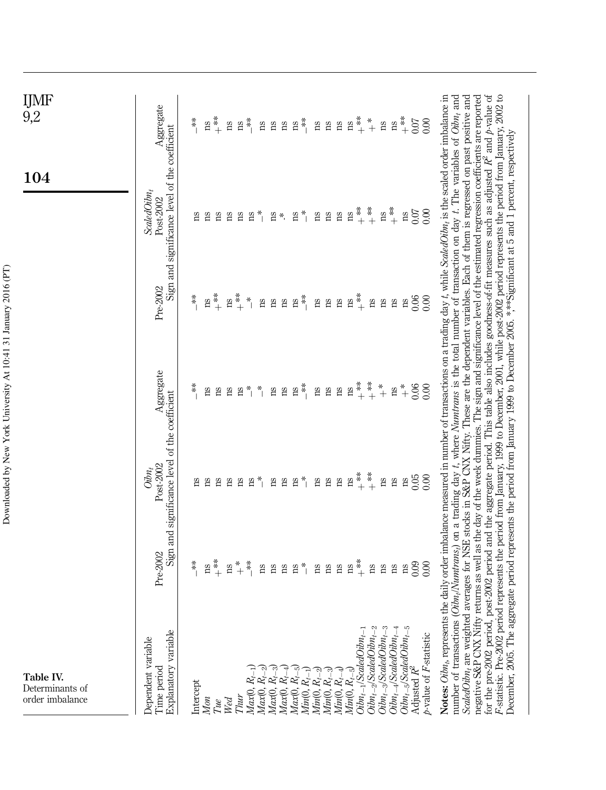| IJMF<br>9,2                                     | Aggregate                                                                      | $*$       | m   | $* +$                | $_{\rm ns}$ | ns                       | $*$                 | $\mathbf{ns}$     | m                 | $\mathbf{n}\mathbf{s}$ | $\mathbf{n}$ s         | $*$ <sup>*</sup>                       | $_{\rm ns}$       | ns             | ns                                                                                | $_{\rm ns}$            | $\stackrel{*}{\ast}_{+}$                            | $\overset{*}{+}$                                                                   | ns                            | ns                           | $\stackrel{*}{\ast}_{+}$      | 0.07           | 0.00                         |                                                                                                                                                                                                                                                                                                                                                               |                                                                                                                                                      |                                                                                                                                                                                                                                                                                                                                |                                                                                                                                |                                                                                                                                                 |
|-------------------------------------------------|--------------------------------------------------------------------------------|-----------|-----|----------------------|-------------|--------------------------|---------------------|-------------------|-------------------|------------------------|------------------------|----------------------------------------|-------------------|----------------|-----------------------------------------------------------------------------------|------------------------|-----------------------------------------------------|------------------------------------------------------------------------------------|-------------------------------|------------------------------|-------------------------------|----------------|------------------------------|---------------------------------------------------------------------------------------------------------------------------------------------------------------------------------------------------------------------------------------------------------------------------------------------------------------------------------------------------------------|------------------------------------------------------------------------------------------------------------------------------------------------------|--------------------------------------------------------------------------------------------------------------------------------------------------------------------------------------------------------------------------------------------------------------------------------------------------------------------------------|--------------------------------------------------------------------------------------------------------------------------------|-------------------------------------------------------------------------------------------------------------------------------------------------|
| 104                                             | Sign and significance level of the coefficient<br>$Scale dOibn_t$<br>Post-2002 |           | ns  | ns                   | ns          | ns                       | ns                  | $\ddot{\tilde{}}$ | 125               | $\ast$                 | ns                     | $\mathrm{*}_{\scriptscriptstyle\Vert}$ | $_{ns}$           | $\overline{n}$ | $\overline{\text{ns}}$                                                            | $_{ns}$                | $\begin{array}{c}\n\ast \\ \ast \\ + \n\end{array}$ | $*$ <sup>*</sup>                                                                   | ns                            | $\stackrel{*}{\ast}$         | $_{\rm ns}$                   | 0.07           | 0.00                         |                                                                                                                                                                                                                                                                                                                                                               |                                                                                                                                                      |                                                                                                                                                                                                                                                                                                                                | represents the period from January, 1999 to December, 2001, while post-2002 period represents the period from January, 2002 to |                                                                                                                                                 |
|                                                 | Pre-2002                                                                       | $*$       | ns  | $*$ <sup>*</sup>     | 125         | $\stackrel{*}{\ast}_{+}$ | $\ddot{\ast}$       | ns                | $_{ns}$           | $_{ns}$                | $\overline{\text{ns}}$ | $*$                                    | ns                | $\mathbf{n}$ s | ns                                                                                | $\overline{\text{ns}}$ | $*$ <sup>*</sup>                                    | $_{\rm ns}$                                                                        | ns                            | ns                           | ns                            | 0.06           | 0.00                         |                                                                                                                                                                                                                                                                                                                                                               |                                                                                                                                                      |                                                                                                                                                                                                                                                                                                                                |                                                                                                                                |                                                                                                                                                 |
|                                                 | Aggregate                                                                      | 茶_        | ns  | 125                  | ns          | ns                       | $\ddot{\tilde{}}_l$ | $\ddot{}$         | $_{ns}$           | $_{\rm ns}$            | ns                     | $*$                                    | $_{ns}$           | $\mathbf{n}$ s | $\mathbf{n}$ s                                                                    | $_{\rm ns}$            |                                                     | $\begin{array}{cc} \boldsymbol{\sharp} & \boldsymbol{\sharp} \\ + & + \end{array}$ | $\overset{*}{+}$              | $_{\rm ns}$                  | $\overset{*}{+}$              | 0.06           | 0.00                         |                                                                                                                                                                                                                                                                                                                                                               |                                                                                                                                                      |                                                                                                                                                                                                                                                                                                                                |                                                                                                                                |                                                                                                                                                 |
|                                                 | Sign and significance level of the coefficient<br>Post-2002<br>$Oibn_t$        |           | ns  | ns                   | ns          | ns                       | ns                  | $\star$           | ns                | ns                     | ns                     | $\ddot{\tilde{}}$                      | $_{ns}$           | $\overline{n}$ | ns                                                                                | $_{\rm ns}$            | $*$ <sup>*</sup>                                    | $*$ <sup>*</sup>                                                                   | ns                            | ns                           | ns                            | 0.05           | 0.00                         |                                                                                                                                                                                                                                                                                                                                                               |                                                                                                                                                      |                                                                                                                                                                                                                                                                                                                                |                                                                                                                                |                                                                                                                                                 |
|                                                 | Pre-2002                                                                       | 茶         | ns  | $\stackrel{*}{\ast}$ | $_{ns}$     | $*$ +                    | $\ddot{*}$          | $_{ns}$           | ns                | ns                     | ns                     | $\ddot{\tilde{}}$                      | $_{ns}$           | $\mathbf{n}$ s | ns                                                                                | ns                     | $*$ <sup>*</sup>                                    | $_{\rm ns}$                                                                        | ns                            | ns                           | ns                            | 0.09           | 0.00                         |                                                                                                                                                                                                                                                                                                                                                               |                                                                                                                                                      |                                                                                                                                                                                                                                                                                                                                |                                                                                                                                |                                                                                                                                                 |
| Table IV.<br>Determinants of<br>order imbalance | Explanatory variable<br>Dependent variable<br>Time period                      | Intercept | Mon | Tue                  | Wed         | Thur                     | $Max(0, R_t)$       | $Max(0, R_{t-2})$ | $Max(0, R_{t-3})$ | $Max(0, R_{t-4})$      | $Max(0, R_{t-5})$      | $Min(0, R_{t-1}]$                      | $Min(0, R_{t-2})$ |                | $\begin{array}{c} \textit{Min}(0,R_{t-3}) \\ \textit{Min}(0,R_{t-4}) \end{array}$ | $Min(0, R_t)$          | $Oibn_{t-1}/Scale doibn_{t-1}$                      | $Oibn_{t-2}/ScaledOibn_{t-2}$                                                      | $Oibn_{t-3}/Scale Oibn_{t-3}$ | $Obn_{t-4}/ScaledOibn_{t-4}$ | $Oibn_{t-5}/ScaledOibn_{t-5}$ | Adjusted $R^2$ | $b$ -value of $F$ -statistic | Notes: $Oilm_i$ , represents the daily order imbalance measured in number of transactions on a trading day t, while ScaledOibn, is the scaled order imbalance in<br>number of transactions ( <i>Oibn<sub>t</sub>lNumtrans</i> ,) on a trading day t, where Numtrans is the total number of transaction on day t. The variables of <i>Oibn<sub>t</sub></i> and | ScaledOlbn, are weighted averages for NSE stocks in S&P CNX Nifty. These are the dependent variables. Each of them is regressed on past positive and | for the pre-2002 period, post-2002 period and the aggregate period. This table also includes goodness of fit measures such as adjusted $R^2$ and $p$ -value of<br>negative S&P CNX Nifty returns as well as the day of the week dummies. The sign and significance level of the estimated regression coefficients are reported | F-statistic. Pre-2002 period                                                                                                   | December, 2005. The aggregate period represents the period from January 1999 to December 2005. *,**Significant at 5 and 1 percent, respectively |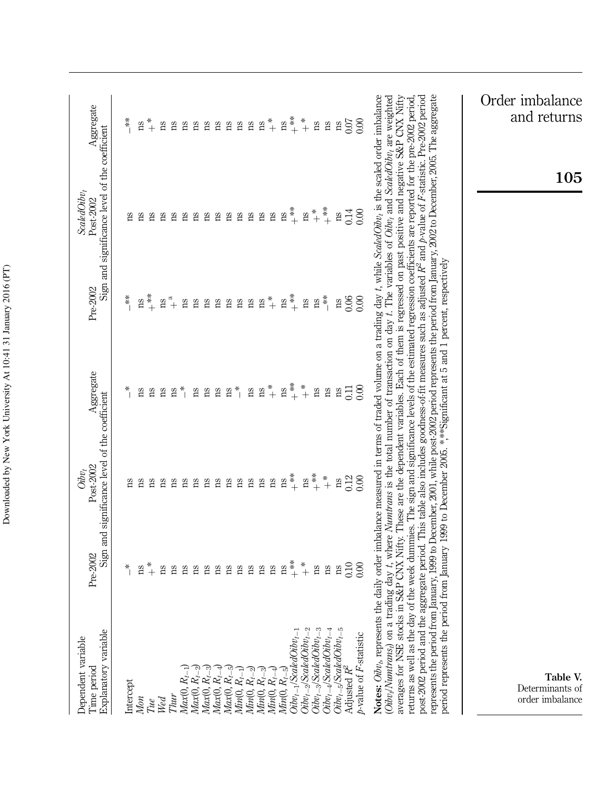| Explanatory variable<br>Dependent variable<br>Time period                                                                                                                                                                                                                                                                                                                                                                                                                                                                                                                                                                                                                                                                                                                                                                                                                                                                                   | Pre-2002       | Sign and significance level of the coefficient<br>Post-2002<br>$Oibv_t$ | Aggregate              | Pre-2002              | Sign and significance level of the coefficient<br>$ScaledOibv_t$<br>Post-2002                                                    | Aggregate                |
|---------------------------------------------------------------------------------------------------------------------------------------------------------------------------------------------------------------------------------------------------------------------------------------------------------------------------------------------------------------------------------------------------------------------------------------------------------------------------------------------------------------------------------------------------------------------------------------------------------------------------------------------------------------------------------------------------------------------------------------------------------------------------------------------------------------------------------------------------------------------------------------------------------------------------------------------|----------------|-------------------------------------------------------------------------|------------------------|-----------------------|----------------------------------------------------------------------------------------------------------------------------------|--------------------------|
|                                                                                                                                                                                                                                                                                                                                                                                                                                                                                                                                                                                                                                                                                                                                                                                                                                                                                                                                             |                |                                                                         |                        |                       |                                                                                                                                  |                          |
| Intercept                                                                                                                                                                                                                                                                                                                                                                                                                                                                                                                                                                                                                                                                                                                                                                                                                                                                                                                                   | $*$            | ns                                                                      |                        | $*$                   |                                                                                                                                  | $*$                      |
| Mon                                                                                                                                                                                                                                                                                                                                                                                                                                                                                                                                                                                                                                                                                                                                                                                                                                                                                                                                         | 125            | m                                                                       | ns                     | ns                    | g                                                                                                                                | Ωã                       |
| Tue                                                                                                                                                                                                                                                                                                                                                                                                                                                                                                                                                                                                                                                                                                                                                                                                                                                                                                                                         | $+$            | ns                                                                      | ns                     | $* +$                 | πs                                                                                                                               | $+$                      |
| Wed                                                                                                                                                                                                                                                                                                                                                                                                                                                                                                                                                                                                                                                                                                                                                                                                                                                                                                                                         | ns             | ns                                                                      | ns                     | $_{ns}$               | ns                                                                                                                               | ns                       |
| Thur                                                                                                                                                                                                                                                                                                                                                                                                                                                                                                                                                                                                                                                                                                                                                                                                                                                                                                                                        | ns             | ns                                                                      | ns                     | $\alpha$ <sup>d</sup> | ns                                                                                                                               | 1S                       |
| $Max(0, R_{t-1})$                                                                                                                                                                                                                                                                                                                                                                                                                                                                                                                                                                                                                                                                                                                                                                                                                                                                                                                           | ns             | ns                                                                      | $\tilde{\tau}$         | $_{ns}$               | ns                                                                                                                               | ΠS                       |
| $Max(0, R_{t-2})$                                                                                                                                                                                                                                                                                                                                                                                                                                                                                                                                                                                                                                                                                                                                                                                                                                                                                                                           | ns             | ns                                                                      | ns                     | ns                    | ns                                                                                                                               | m                        |
| $Max(0, R_{t-3})$                                                                                                                                                                                                                                                                                                                                                                                                                                                                                                                                                                                                                                                                                                                                                                                                                                                                                                                           | ns             | ns                                                                      | ns                     | ns                    | ns                                                                                                                               | m                        |
| $Max(0, R_{t-4})$                                                                                                                                                                                                                                                                                                                                                                                                                                                                                                                                                                                                                                                                                                                                                                                                                                                                                                                           | ns             | 125                                                                     | $\mathbf{n}$           | 125                   | ns                                                                                                                               | ms                       |
| $Max(0, R_{t-5})$                                                                                                                                                                                                                                                                                                                                                                                                                                                                                                                                                                                                                                                                                                                                                                                                                                                                                                                           | ns             | 125                                                                     | ns                     | 125                   | $_{\rm ns}$                                                                                                                      | Ά                        |
| $Min(0, R_{t-1})$                                                                                                                                                                                                                                                                                                                                                                                                                                                                                                                                                                                                                                                                                                                                                                                                                                                                                                                           | ns             | 125                                                                     | $\tilde{\tilde{z}}_1$  | $\mathbf{n}$ s        | ns                                                                                                                               | m                        |
| $Min(0, R_{t-2})$                                                                                                                                                                                                                                                                                                                                                                                                                                                                                                                                                                                                                                                                                                                                                                                                                                                                                                                           | ns             | $\mathbf{n}$ s                                                          | $\overline{n}$         | ns                    | ns                                                                                                                               | $\mathbf{n}$ s           |
| $Min(0, R_{t-3})$                                                                                                                                                                                                                                                                                                                                                                                                                                                                                                                                                                                                                                                                                                                                                                                                                                                                                                                           | ns             | $\mathbf{n}$ s                                                          | $\mathbf{n}$ s         | $\mathbf{n}$ s        | ns                                                                                                                               | ns                       |
| $Min(0, R_{t-4})$                                                                                                                                                                                                                                                                                                                                                                                                                                                                                                                                                                                                                                                                                                                                                                                                                                                                                                                           | $_{ns}$        | $\overline{\text{ns}}$                                                  | $+$                    | $+$                   | $\mathbf{n}$ s                                                                                                                   | $*$                      |
| $Min(0, R_{t-5})$                                                                                                                                                                                                                                                                                                                                                                                                                                                                                                                                                                                                                                                                                                                                                                                                                                                                                                                           | $_{ns}$        | $_{ns}$                                                                 | ns                     | ns                    | $_{ns}$                                                                                                                          | $_{\rm ns}$              |
| $Oibv_{t-1}/ScaledOibv_{t-1}$                                                                                                                                                                                                                                                                                                                                                                                                                                                                                                                                                                                                                                                                                                                                                                                                                                                                                                               | $+\frac{1}{2}$ | $\begin{array}{c}\n\ast \\ \ast \\ + \n\end{array}$                     | $* +$                  | $* +$                 | $+\frac{1}{2}$                                                                                                                   | $\stackrel{*}{\ast}_{+}$ |
| $Oibv_{t-2}/ScaledOibv_{t-2}$                                                                                                                                                                                                                                                                                                                                                                                                                                                                                                                                                                                                                                                                                                                                                                                                                                                                                                               | $*$ +          | ns                                                                      | $+$                    | ns                    | $\rm ns$                                                                                                                         | $*$ <sub>+</sub>         |
| $Oibv_{t-3}/ScaledOibv_{t-3}$                                                                                                                                                                                                                                                                                                                                                                                                                                                                                                                                                                                                                                                                                                                                                                                                                                                                                                               | $_{ns}$        | $+$ $+$                                                                 | $\overline{\text{ns}}$ | $_{ns}$               | $*$ <sub>+</sub>                                                                                                                 | ns                       |
| $Cibv_{t-4}/ScaledOibv_{t-4}$                                                                                                                                                                                                                                                                                                                                                                                                                                                                                                                                                                                                                                                                                                                                                                                                                                                                                                               | $_{ns}$        | $\overset{*}{+}$                                                        | $_{ns}$                | $*$                   | $*$ <sup>*</sup>                                                                                                                 | $_{\rm ns}$              |
| $Oibv_{t-S}$ Scaled $Oibv_{t-S}$                                                                                                                                                                                                                                                                                                                                                                                                                                                                                                                                                                                                                                                                                                                                                                                                                                                                                                            | ns             | $_{\rm ns}$                                                             | ns                     | ns                    | $\mathbf{n}$ s                                                                                                                   | ns                       |
| Adjusted $R^2$                                                                                                                                                                                                                                                                                                                                                                                                                                                                                                                                                                                                                                                                                                                                                                                                                                                                                                                              | 0.10           | 0.12                                                                    | 0.11                   | 0.06                  | 0.14                                                                                                                             | 0.07                     |
| $b$ -value of $F$ -statistic                                                                                                                                                                                                                                                                                                                                                                                                                                                                                                                                                                                                                                                                                                                                                                                                                                                                                                                | 0.00           | 0.00                                                                    | 0.00                   | 0.00                  | 0.00                                                                                                                             | 0.00                     |
| ( <i>Oibv/Numtrans</i> ) on a trading day t, where <i>Numtrans</i> is the total number of transaction on day t. The variables of <i>Oibv</i> , and <i>ScaledOibv</i> , are weighted averages for NSE stocks in S&P CNX Nifty. These are the dependent<br>Notes: Oibv <sub>b</sub> , represents the daily order imbalance measured in terms of traded volume on a trading day t, while ScaledOibv <sub>t</sub> is the scaled order imbalance<br>post-2002 period and the aggregate period. This table also includes goodness-of-fit measures such as adjusted $R^2$ and $p$ -value of $F$ -statistic. Pre-2002 period<br>returns as well as the day of the week dummies. The sign and significance levels of the estimated regression coefficients are reported for the pre-2002 period<br>period represents the period from January 1999 to December 2005. *,**Significant at 5 and 1 percent, respectively<br>represents the period from J |                |                                                                         |                        |                       | anuary, 1999 to December, 2001, while post-2002 period represents the period from January, 2002 to December, 2005. The aggregate |                          |
|                                                                                                                                                                                                                                                                                                                                                                                                                                                                                                                                                                                                                                                                                                                                                                                                                                                                                                                                             |                |                                                                         |                        |                       |                                                                                                                                  |                          |
|                                                                                                                                                                                                                                                                                                                                                                                                                                                                                                                                                                                                                                                                                                                                                                                                                                                                                                                                             |                |                                                                         |                        |                       |                                                                                                                                  | Order imbalance          |
|                                                                                                                                                                                                                                                                                                                                                                                                                                                                                                                                                                                                                                                                                                                                                                                                                                                                                                                                             |                |                                                                         |                        |                       |                                                                                                                                  |                          |
| Determinants of<br>order imbalance                                                                                                                                                                                                                                                                                                                                                                                                                                                                                                                                                                                                                                                                                                                                                                                                                                                                                                          |                |                                                                         |                        |                       |                                                                                                                                  | and returns              |
| Table V.                                                                                                                                                                                                                                                                                                                                                                                                                                                                                                                                                                                                                                                                                                                                                                                                                                                                                                                                    |                |                                                                         |                        |                       |                                                                                                                                  |                          |
|                                                                                                                                                                                                                                                                                                                                                                                                                                                                                                                                                                                                                                                                                                                                                                                                                                                                                                                                             |                |                                                                         |                        |                       | 105                                                                                                                              |                          |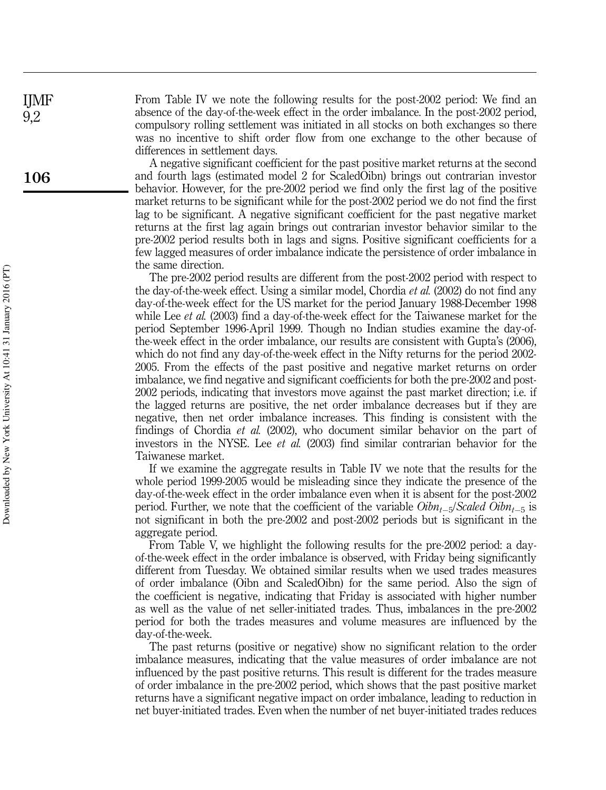From Table IV we note the following results for the post-2002 period: We find an absence of the day-of-the-week effect in the order imbalance. In the post-2002 period, compulsory rolling settlement was initiated in all stocks on both exchanges so there was no incentive to shift order flow from one exchange to the other because of differences in settlement days.

A negative significant coefficient for the past positive market returns at the second and fourth lags (estimated model 2 for ScaledOibn) brings out contrarian investor behavior. However, for the pre-2002 period we find only the first lag of the positive market returns to be significant while for the post-2002 period we do not find the first lag to be significant. A negative significant coefficient for the past negative market returns at the first lag again brings out contrarian investor behavior similar to the pre-2002 period results both in lags and signs. Positive significant coefficients for a few lagged measures of order imbalance indicate the persistence of order imbalance in the same direction.

The pre-2002 period results are different from the post-2002 period with respect to the day-of-the-week effect. Using a similar model, Chordia *et al.* (2002) do not find any day-of-the-week effect for the US market for the period January 1988-December 1998 while Lee *et al.* (2003) find a day-of-the-week effect for the Taiwanese market for the period September 1996-April 1999. Though no Indian studies examine the day-ofthe-week effect in the order imbalance, our results are consistent with Gupta's (2006), which do not find any day-of-the-week effect in the Nifty returns for the period 2002- 2005. From the effects of the past positive and negative market returns on order imbalance, we find negative and significant coefficients for both the pre-2002 and post-2002 periods, indicating that investors move against the past market direction; i.e. if the lagged returns are positive, the net order imbalance decreases but if they are negative, then net order imbalance increases. This finding is consistent with the findings of Chordia *et al.* (2002), who document similar behavior on the part of investors in the NYSE. Lee *et al.* (2003) find similar contrarian behavior for the Taiwanese market.

If we examine the aggregate results in Table IV we note that the results for the whole period 1999-2005 would be misleading since they indicate the presence of the day-of-the-week effect in the order imbalance even when it is absent for the post-2002 period. Further, we note that the coefficient of the variable *Oibnt*-5 /*Scaled Oibnt*-5 is not significant in both the pre-2002 and post-2002 periods but is significant in the aggregate period.

From Table V, we highlight the following results for the pre-2002 period: a dayof-the-week effect in the order imbalance is observed, with Friday being significantly different from Tuesday. We obtained similar results when we used trades measures of order imbalance (Oibn and ScaledOibn) for the same period. Also the sign of the coefficient is negative, indicating that Friday is associated with higher number as well as the value of net seller-initiated trades. Thus, imbalances in the pre-2002 period for both the trades measures and volume measures are influenced by the day-of-the-week.

The past returns (positive or negative) show no significant relation to the order imbalance measures, indicating that the value measures of order imbalance are not influenced by the past positive returns. This result is different for the trades measure of order imbalance in the pre-2002 period, which shows that the past positive market returns have a significant negative impact on order imbalance, leading to reduction in net buyer-initiated trades. Even when the number of net buyer-initiated trades reduces

106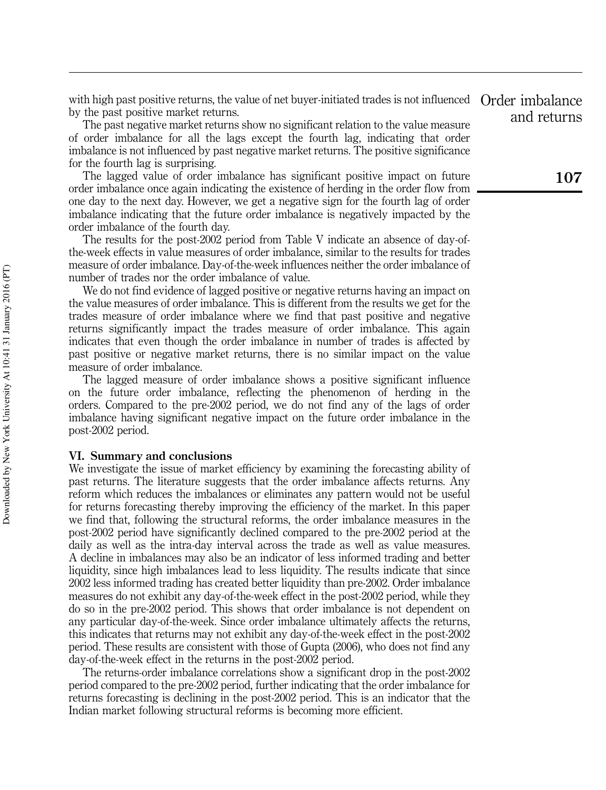with high past positive returns, the value of net buyer-initiated trades is not influenced by the past positive market returns.

The past negative market returns show no significant relation to the value measure of order imbalance for all the lags except the fourth lag, indicating that order imbalance is not influenced by past negative market returns. The positive significance for the fourth lag is surprising.

The lagged value of order imbalance has significant positive impact on future order imbalance once again indicating the existence of herding in the order flow from one day to the next day. However, we get a negative sign for the fourth lag of order imbalance indicating that the future order imbalance is negatively impacted by the order imbalance of the fourth day.

The results for the post-2002 period from Table V indicate an absence of day-ofthe-week effects in value measures of order imbalance, similar to the results for trades measure of order imbalance. Day-of-the-week influences neither the order imbalance of number of trades nor the order imbalance of value.

We do not find evidence of lagged positive or negative returns having an impact on the value measures of order imbalance. This is different from the results we get for the trades measure of order imbalance where we find that past positive and negative returns significantly impact the trades measure of order imbalance. This again indicates that even though the order imbalance in number of trades is affected by past positive or negative market returns, there is no similar impact on the value measure of order imbalance.

The lagged measure of order imbalance shows a positive significant influence on the future order imbalance, reflecting the phenomenon of herding in the orders. Compared to the pre-2002 period, we do not find any of the lags of order imbalance having significant negative impact on the future order imbalance in the post-2002 period.

#### VI. Summary and conclusions

We investigate the issue of market efficiency by examining the forecasting ability of past returns. The literature suggests that the order imbalance affects returns. Any reform which reduces the imbalances or eliminates any pattern would not be useful for returns forecasting thereby improving the efficiency of the market. In this paper we find that, following the structural reforms, the order imbalance measures in the post-2002 period have significantly declined compared to the pre-2002 period at the daily as well as the intra-day interval across the trade as well as value measures. A decline in imbalances may also be an indicator of less informed trading and better liquidity, since high imbalances lead to less liquidity. The results indicate that since 2002 less informed trading has created better liquidity than pre-2002. Order imbalance measures do not exhibit any day-of-the-week effect in the post-2002 period, while they do so in the pre-2002 period. This shows that order imbalance is not dependent on any particular day-of-the-week. Since order imbalance ultimately affects the returns, this indicates that returns may not exhibit any day-of-the-week effect in the post-2002 period. These results are consistent with those of Gupta (2006), who does not find any day-of-the-week effect in the returns in the post-2002 period.

The returns-order imbalance correlations show a significant drop in the post-2002 period compared to the pre-2002 period, further indicating that the order imbalance for returns forecasting is declining in the post-2002 period. This is an indicator that the Indian market following structural reforms is becoming more efficient.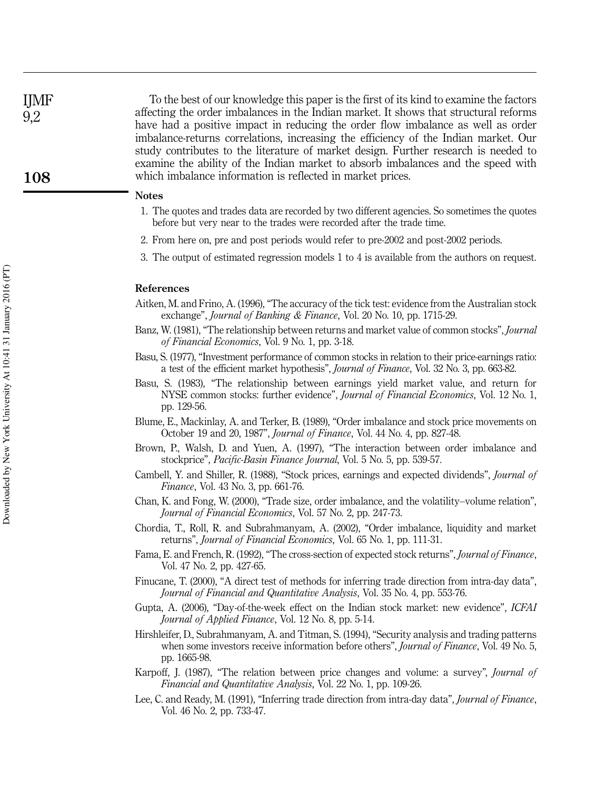To the best of our knowledge this paper is the first of its kind to examine the factors affecting the order imbalances in the Indian market. It shows that structural reforms have had a positive impact in reducing the order flow imbalance as well as order imbalance-returns correlations, increasing the efficiency of the Indian market. Our study contributes to the literature of market design. Further research is needed to examine the ability of the Indian market to absorb imbalances and the speed with which imbalance information is reflected in market prices.

### Notes

- 1. The quotes and trades data are recorded by two different agencies. So sometimes the quotes before but very near to the trades were recorded after the trade time.
- 2. From here on, pre and post periods would refer to pre-2002 and post-2002 periods.
- 3. The output of estimated regression models 1 to 4 is available from the authors on request.

#### References

- Aitken, M. and Frino, A. (1996), "The accuracy of the tick test: evidence from the Australian stock exchange", *Journal of Banking & Finance*, Vol. 20 No. 10, pp. 1715-29.
- Banz, W. (1981), "The relationship between returns and market value of common stocks", *Journal of Financial Economics*, Vol. 9 No. 1, pp. 3-18.
- Basu, S. (1977), "Investment performance of common stocks in relation to their price-earnings ratio: a test of the efficient market hypothesis", *Journal of Finance*, Vol. 32 No. 3, pp. 663-82.
- Basu, S. (1983), "The relationship between earnings yield market value, and return for NYSE common stocks: further evidence", *Journal of Financial Economics*, Vol. 12 No. 1, pp. 129-56.
- Blume, E., Mackinlay, A. and Terker, B. (1989), "Order imbalance and stock price movements on October 19 and 20, 1987", *Journal of Finance*, Vol. 44 No. 4, pp. 827-48.
- Brown, P., Walsh, D. and Yuen, A. (1997), "The interaction between order imbalance and stockprice", *Pacific-Basin Finance Journal*, Vol. 5 No. 5, pp. 539-57.
- Cambell, Y. and Shiller, R. (1988), "Stock prices, earnings and expected dividends", *Journal of Finance*, Vol. 43 No. 3, pp. 661-76.
- Chan, K. and Fong, W. (2000), "Trade size, order imbalance, and the volatility–volume relation", *Journal of Financial Economics*, Vol. 57 No. 2, pp. 247-73.
- Chordia, T., Roll, R. and Subrahmanyam, A. (2002), "Order imbalance, liquidity and market returns", *Journal of Financial Economics*, Vol. 65 No. 1, pp. 111-31.
- Fama, E. and French, R. (1992), "The cross-section of expected stock returns", *Journal of Finance*, Vol. 47 No. 2, pp. 427-65.
- Finucane, T. (2000), "A direct test of methods for inferring trade direction from intra-day data", *Journal of Financial and Quantitative Analysis*, Vol. 35 No. 4, pp. 553-76.
- Gupta, A. (2006), "Day-of-the-week effect on the Indian stock market: new evidence", *ICFAI Journal of Applied Finance*, Vol. 12 No. 8, pp. 5-14.
- Hirshleifer, D., Subrahmanyam, A. and Titman, S. (1994), "Security analysis and trading patterns when some investors receive information before others", *Journal of Finance*, Vol. 49 No. 5, pp. 1665-98.
- Karpoff, J. (1987), "The relation between price changes and volume: a survey", *Journal of Financial and Quantitative Analysis*, Vol. 22 No. 1, pp. 109-26.
- Lee, C. and Ready, M. (1991), "Inferring trade direction from intra-day data", *Journal of Finance*, Vol. 46 No. 2, pp. 733-47.

108